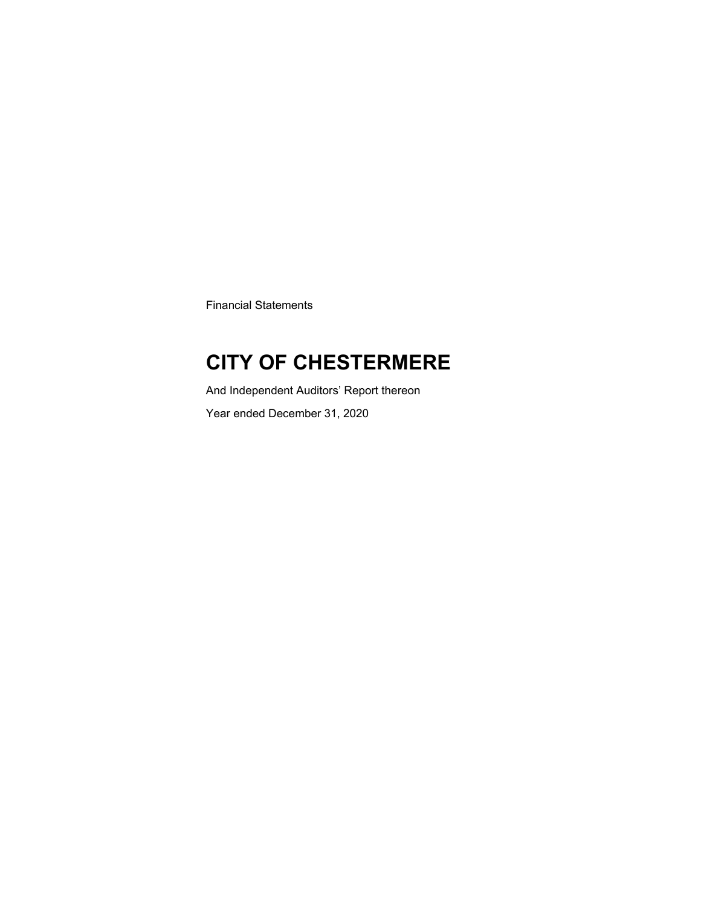Financial Statements

## **CITY OF CHESTERMERE**

And Independent Auditors' Report thereon Year ended December 31, 2020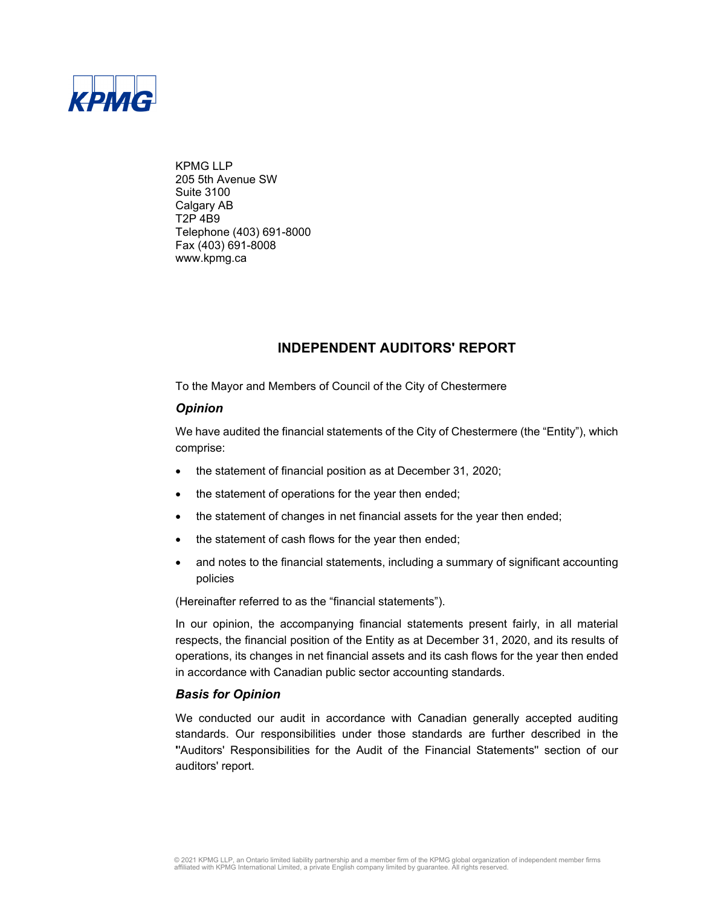

KPMG LLP 205 5th Avenue SW Suite 3100 Calgary AB T2P 4B9 Telephone (403) 691-8000 Fax (403) 691-8008 www.kpmg.ca

### **INDEPENDENT AUDITORS' REPORT**

To the Mayor and Members of Council of the City of Chestermere

### *Opinion*

We have audited the financial statements of the City of Chestermere (the "Entity"), which comprise:

- the statement of financial position as at December 31, 2020;
- the statement of operations for the year then ended;
- the statement of changes in net financial assets for the year then ended;
- the statement of cash flows for the year then ended;
- and notes to the financial statements, including a summary of significant accounting policies

(Hereinafter referred to as the "financial statements").

In our opinion, the accompanying financial statements present fairly, in all material respects, the financial position of the Entity as at December 31, 2020, and its results of operations, its changes in net financial assets and its cash flows for the year then ended in accordance with Canadian public sector accounting standards.

### *Basis for Opinion*

We conducted our audit in accordance with Canadian generally accepted auditing standards. Our responsibilities under those standards are further described in the **'**'Auditors' Responsibilities for the Audit of the Financial Statements'' section of our auditors' report.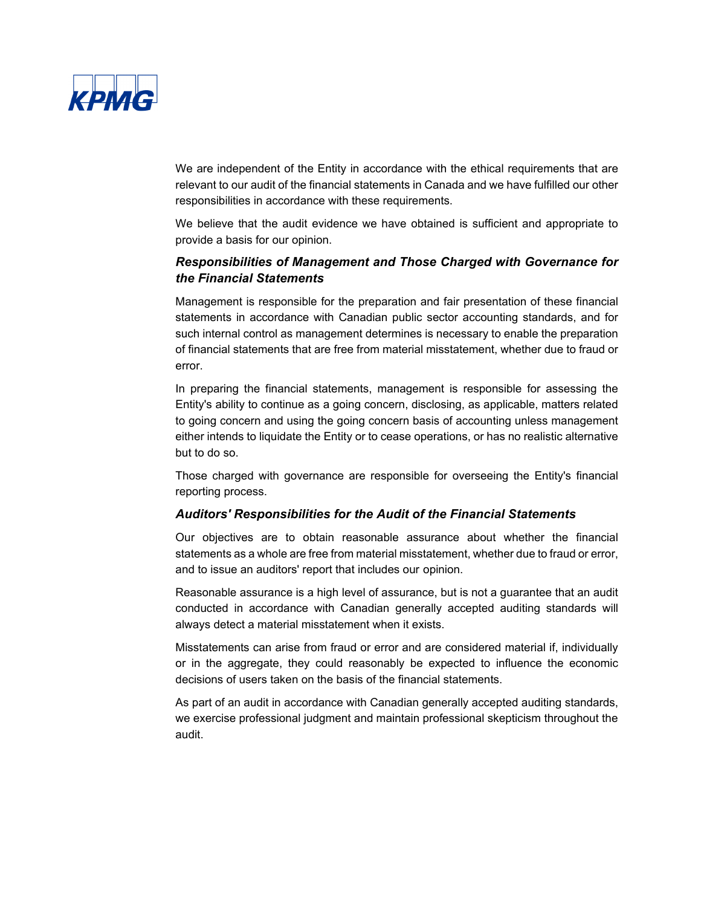

We are independent of the Entity in accordance with the ethical requirements that are relevant to our audit of the financial statements in Canada and we have fulfilled our other responsibilities in accordance with these requirements.

We believe that the audit evidence we have obtained is sufficient and appropriate to provide a basis for our opinion.

### *Responsibilities of Management and Those Charged with Governance for the Financial Statements*

Management is responsible for the preparation and fair presentation of these financial statements in accordance with Canadian public sector accounting standards, and for such internal control as management determines is necessary to enable the preparation of financial statements that are free from material misstatement, whether due to fraud or error.

In preparing the financial statements, management is responsible for assessing the Entity's ability to continue as a going concern, disclosing, as applicable, matters related to going concern and using the going concern basis of accounting unless management either intends to liquidate the Entity or to cease operations, or has no realistic alternative but to do so.

Those charged with governance are responsible for overseeing the Entity's financial reporting process.

### *Auditors' Responsibilities for the Audit of the Financial Statements*

Our objectives are to obtain reasonable assurance about whether the financial statements as a whole are free from material misstatement, whether due to fraud or error, and to issue an auditors' report that includes our opinion.

Reasonable assurance is a high level of assurance, but is not a guarantee that an audit conducted in accordance with Canadian generally accepted auditing standards will always detect a material misstatement when it exists.

Misstatements can arise from fraud or error and are considered material if, individually or in the aggregate, they could reasonably be expected to influence the economic decisions of users taken on the basis of the financial statements.

As part of an audit in accordance with Canadian generally accepted auditing standards, we exercise professional judgment and maintain professional skepticism throughout the audit.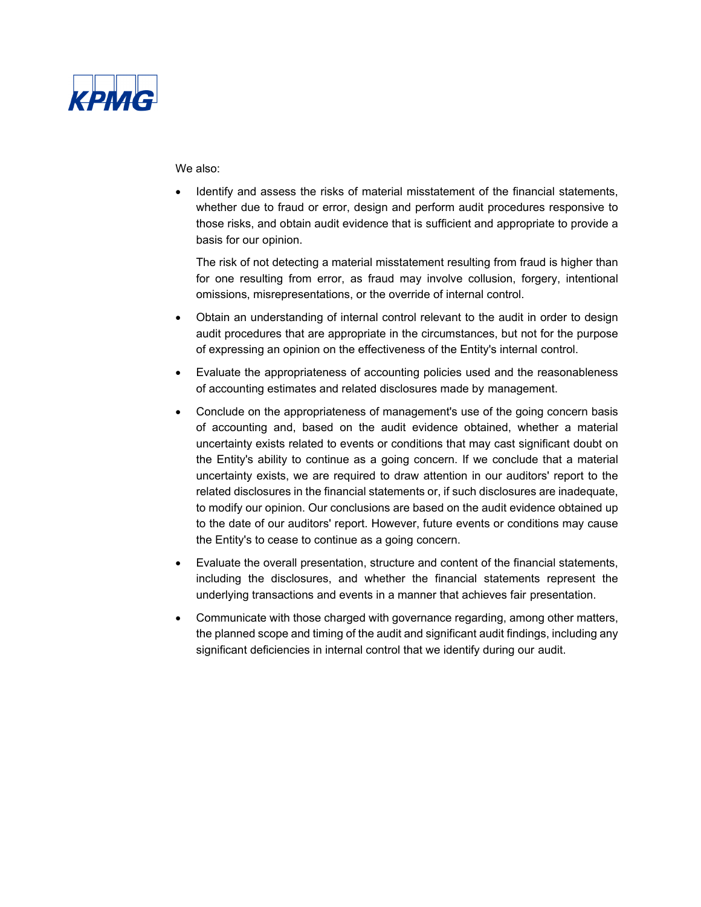

We also:

 Identify and assess the risks of material misstatement of the financial statements, whether due to fraud or error, design and perform audit procedures responsive to those risks, and obtain audit evidence that is sufficient and appropriate to provide a basis for our opinion.

The risk of not detecting a material misstatement resulting from fraud is higher than for one resulting from error, as fraud may involve collusion, forgery, intentional omissions, misrepresentations, or the override of internal control.

- Obtain an understanding of internal control relevant to the audit in order to design audit procedures that are appropriate in the circumstances, but not for the purpose of expressing an opinion on the effectiveness of the Entity's internal control.
- Evaluate the appropriateness of accounting policies used and the reasonableness of accounting estimates and related disclosures made by management.
- Conclude on the appropriateness of management's use of the going concern basis of accounting and, based on the audit evidence obtained, whether a material uncertainty exists related to events or conditions that may cast significant doubt on the Entity's ability to continue as a going concern. If we conclude that a material uncertainty exists, we are required to draw attention in our auditors' report to the related disclosures in the financial statements or, if such disclosures are inadequate, to modify our opinion. Our conclusions are based on the audit evidence obtained up to the date of our auditors' report. However, future events or conditions may cause the Entity's to cease to continue as a going concern.
- Evaluate the overall presentation, structure and content of the financial statements, including the disclosures, and whether the financial statements represent the underlying transactions and events in a manner that achieves fair presentation.
- Communicate with those charged with governance regarding, among other matters, the planned scope and timing of the audit and significant audit findings, including any significant deficiencies in internal control that we identify during our audit.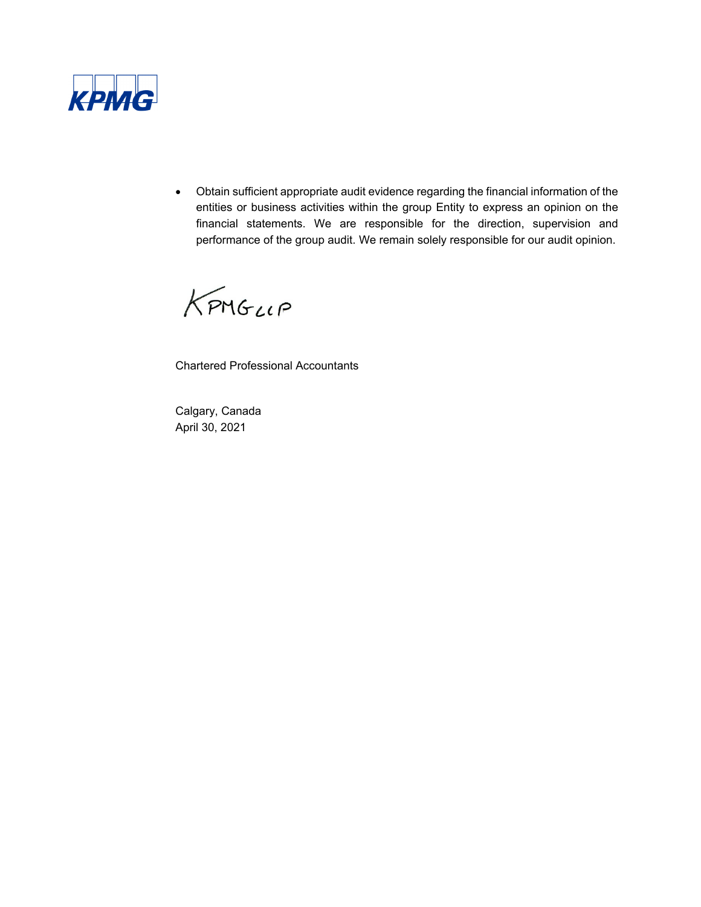

 Obtain sufficient appropriate audit evidence regarding the financial information of the entities or business activities within the group Entity to express an opinion on the financial statements. We are responsible for the direction, supervision and performance of the group audit. We remain solely responsible for our audit opinion.

KPMGLIP

Chartered Professional Accountants

Calgary, Canada April 30, 2021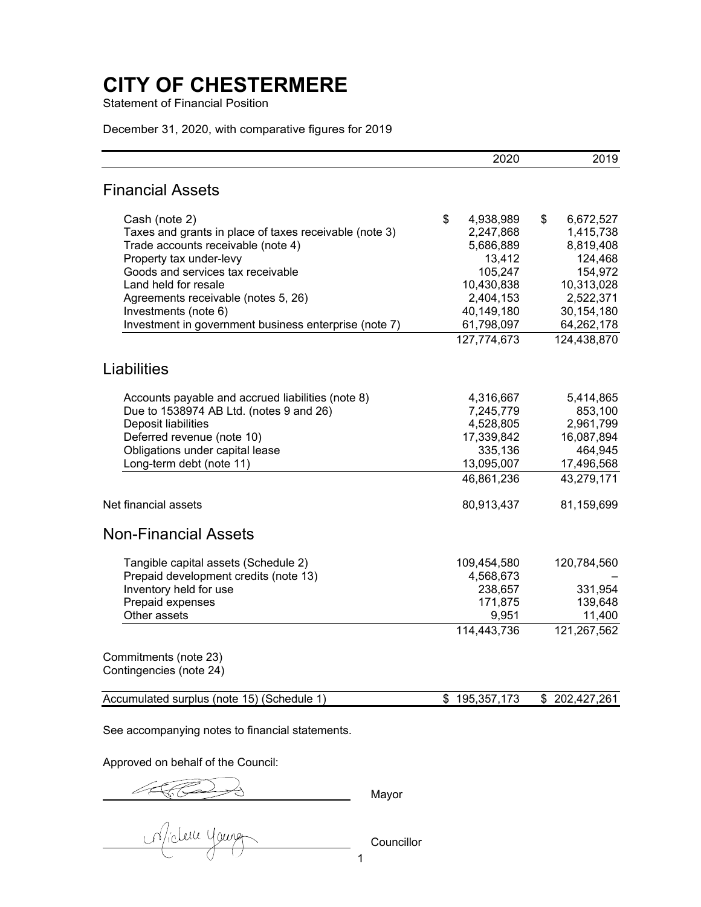Statement of Financial Position

### December 31, 2020, with comparative figures for 2019

|                                                        | 2020              | 2019            |
|--------------------------------------------------------|-------------------|-----------------|
| <b>Financial Assets</b>                                |                   |                 |
| Cash (note 2)                                          | \$<br>4,938,989   | \$<br>6,672,527 |
| Taxes and grants in place of taxes receivable (note 3) | 2,247,868         | 1,415,738       |
| Trade accounts receivable (note 4)                     | 5,686,889         | 8,819,408       |
| Property tax under-levy                                | 13,412            | 124,468         |
| Goods and services tax receivable                      | 105,247           | 154,972         |
| Land held for resale                                   | 10,430,838        | 10,313,028      |
| Agreements receivable (notes 5, 26)                    | 2,404,153         | 2,522,371       |
| Investments (note 6)                                   | 40,149,180        | 30,154,180      |
| Investment in government business enterprise (note 7)  | 61,798,097        | 64,262,178      |
|                                                        | 127,774,673       | 124,438,870     |
| Liabilities                                            |                   |                 |
| Accounts payable and accrued liabilities (note 8)      | 4,316,667         | 5,414,865       |
| Due to 1538974 AB Ltd. (notes 9 and 26)                | 7,245,779         | 853,100         |
| Deposit liabilities                                    | 4,528,805         | 2,961,799       |
| Deferred revenue (note 10)                             | 17,339,842        | 16,087,894      |
| Obligations under capital lease                        | 335,136           | 464,945         |
| Long-term debt (note 11)                               | 13,095,007        | 17,496,568      |
|                                                        | 46,861,236        | 43,279,171      |
| Net financial assets                                   | 80,913,437        | 81,159,699      |
| <b>Non-Financial Assets</b>                            |                   |                 |
| Tangible capital assets (Schedule 2)                   | 109,454,580       | 120,784,560     |
| Prepaid development credits (note 13)                  | 4,568,673         |                 |
| Inventory held for use                                 | 238,657           | 331,954         |
| Prepaid expenses                                       | 171,875           | 139,648         |
| Other assets                                           | 9,951             | 11,400          |
|                                                        | 114,443,736       | 121,267,562     |
| Commitments (note 23)<br>Contingencies (note 24)       |                   |                 |
| Accumulated surplus (note 15) (Schedule 1)             | \$<br>195,357,173 | \$202,427,261   |

See accompanying notes to financial statements.

Approved on behalf of the Council:

ACCORE Mayor

1 Councillor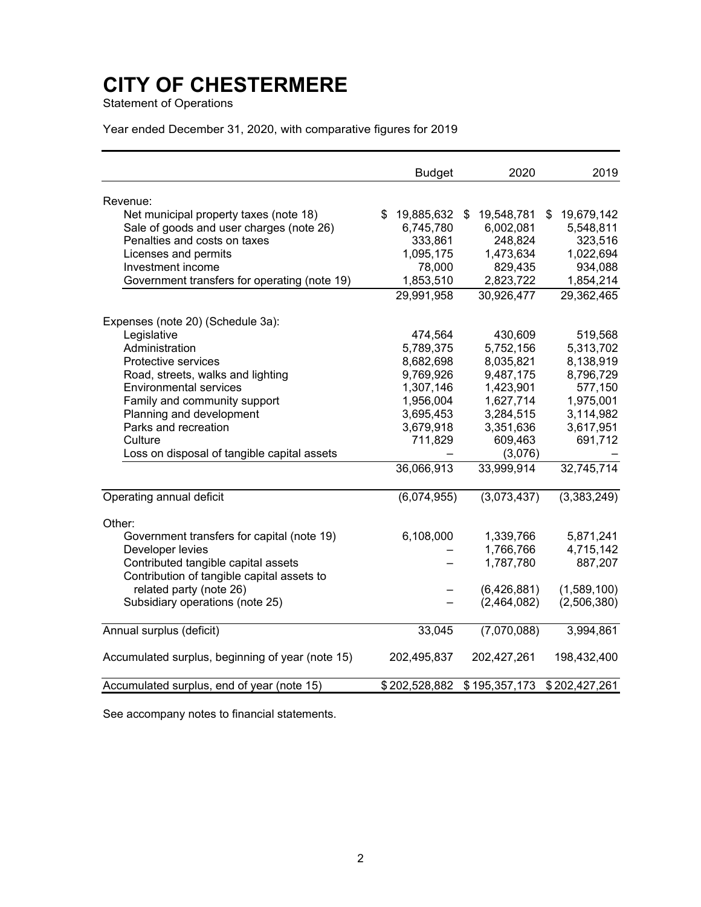Statement of Operations

Year ended December 31, 2020, with comparative figures for 2019

|                                                  | <b>Budget</b>    | 2020             | 2019             |
|--------------------------------------------------|------------------|------------------|------------------|
| Revenue:                                         |                  |                  |                  |
| Net municipal property taxes (note 18)           | \$<br>19,885,632 | \$<br>19,548,781 | \$<br>19,679,142 |
| Sale of goods and user charges (note 26)         | 6,745,780        | 6,002,081        | 5,548,811        |
| Penalties and costs on taxes                     | 333,861          | 248,824          | 323,516          |
| Licenses and permits                             | 1,095,175        | 1,473,634        | 1,022,694        |
| Investment income                                | 78,000           | 829,435          | 934,088          |
| Government transfers for operating (note 19)     | 1,853,510        | 2,823,722        | 1,854,214        |
|                                                  | 29,991,958       | 30,926,477       | 29,362,465       |
| Expenses (note 20) (Schedule 3a):                |                  |                  |                  |
| Legislative                                      | 474,564          | 430,609          | 519,568          |
| Administration                                   | 5,789,375        | 5,752,156        | 5,313,702        |
| Protective services                              | 8,682,698        | 8,035,821        | 8,138,919        |
| Road, streets, walks and lighting                | 9,769,926        | 9,487,175        | 8,796,729        |
| <b>Environmental services</b>                    | 1,307,146        | 1,423,901        | 577,150          |
| Family and community support                     | 1,956,004        | 1,627,714        | 1,975,001        |
| Planning and development                         | 3,695,453        | 3,284,515        | 3,114,982        |
| Parks and recreation                             | 3,679,918        | 3,351,636        | 3,617,951        |
| Culture                                          | 711,829          | 609,463          | 691,712          |
| Loss on disposal of tangible capital assets      |                  | (3,076)          |                  |
|                                                  | 36,066,913       | 33,999,914       | 32,745,714       |
| Operating annual deficit                         | (6,074,955)      | (3,073,437)      | (3,383,249)      |
| Other:                                           |                  |                  |                  |
| Government transfers for capital (note 19)       | 6,108,000        | 1,339,766        | 5,871,241        |
| Developer levies                                 |                  | 1,766,766        | 4,715,142        |
| Contributed tangible capital assets              |                  | 1,787,780        | 887,207          |
| Contribution of tangible capital assets to       |                  |                  |                  |
| related party (note 26)                          | -                | (6,426,881)      | (1,589,100)      |
| Subsidiary operations (note 25)                  |                  | (2,464,082)      | (2,506,380)      |
| Annual surplus (deficit)                         | 33,045           | (7,070,088)      | 3,994,861        |
| Accumulated surplus, beginning of year (note 15) | 202,495,837      | 202,427,261      | 198,432,400      |
| Accumulated surplus, end of year (note 15)       | \$202,528,882    | \$195,357,173    | \$202,427,261    |

See accompany notes to financial statements.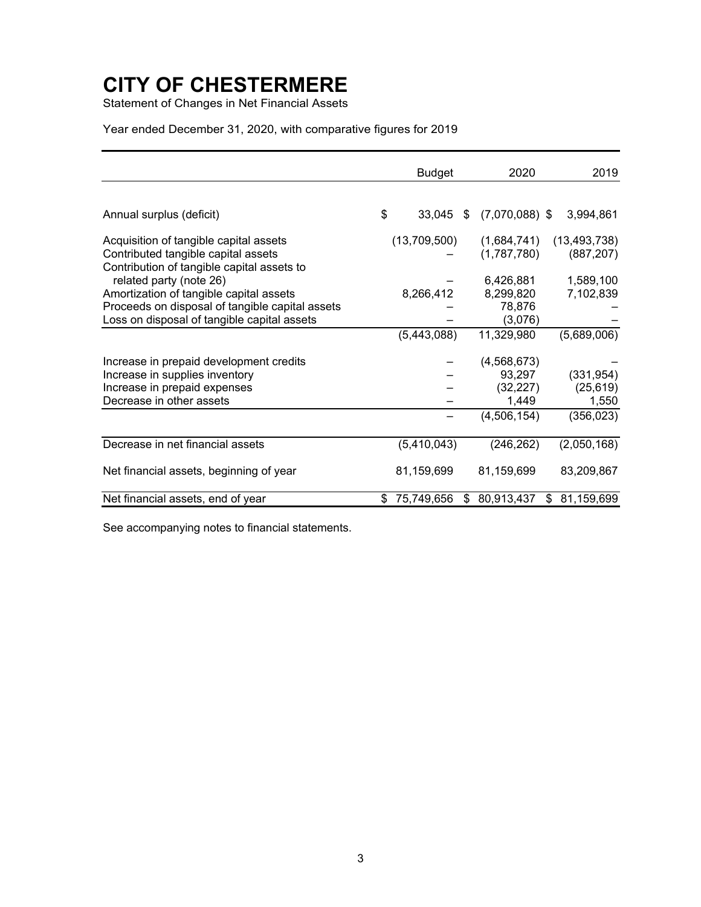Statement of Changes in Net Financial Assets

### Year ended December 31, 2020, with comparative figures for 2019

|                                                                                   | <b>Budget</b>     | 2020             | 2019                         |
|-----------------------------------------------------------------------------------|-------------------|------------------|------------------------------|
|                                                                                   |                   |                  |                              |
| Annual surplus (deficit)                                                          | \$<br>$33,045$ \$ | $(7,070,088)$ \$ | 3,994,861                    |
| Acquisition of tangible capital assets                                            | (13,709,500)      |                  | $(1,684,741)$ $(13,493,738)$ |
| Contributed tangible capital assets<br>Contribution of tangible capital assets to |                   | (1,787,780)      | (887, 207)                   |
| related party (note 26)                                                           |                   | 6,426,881        | 1,589,100                    |
| Amortization of tangible capital assets                                           | 8,266,412         | 8,299,820        | 7,102,839                    |
| Proceeds on disposal of tangible capital assets                                   |                   | 78,876           |                              |
| Loss on disposal of tangible capital assets                                       |                   | (3,076)          |                              |
|                                                                                   | (5,443,088)       | 11,329,980       | (5,689,006)                  |
| Increase in prepaid development credits                                           |                   | (4,568,673)      |                              |
| Increase in supplies inventory                                                    |                   | 93,297           | (331, 954)                   |
| Increase in prepaid expenses                                                      |                   | (32, 227)        | (25, 619)                    |
| Decrease in other assets                                                          |                   | 1,449            | 1,550                        |
|                                                                                   |                   | (4,506,154)      | (356, 023)                   |
| Decrease in net financial assets                                                  | (5,410,043)       | (246, 262)       | (2,050,168)                  |
| Net financial assets, beginning of year                                           | 81,159,699        | 81,159,699       | 83,209,867                   |
| Net financial assets, end of year                                                 | \$.<br>75,749,656 | \$<br>80,913,437 | \$81,159,699                 |

See accompanying notes to financial statements.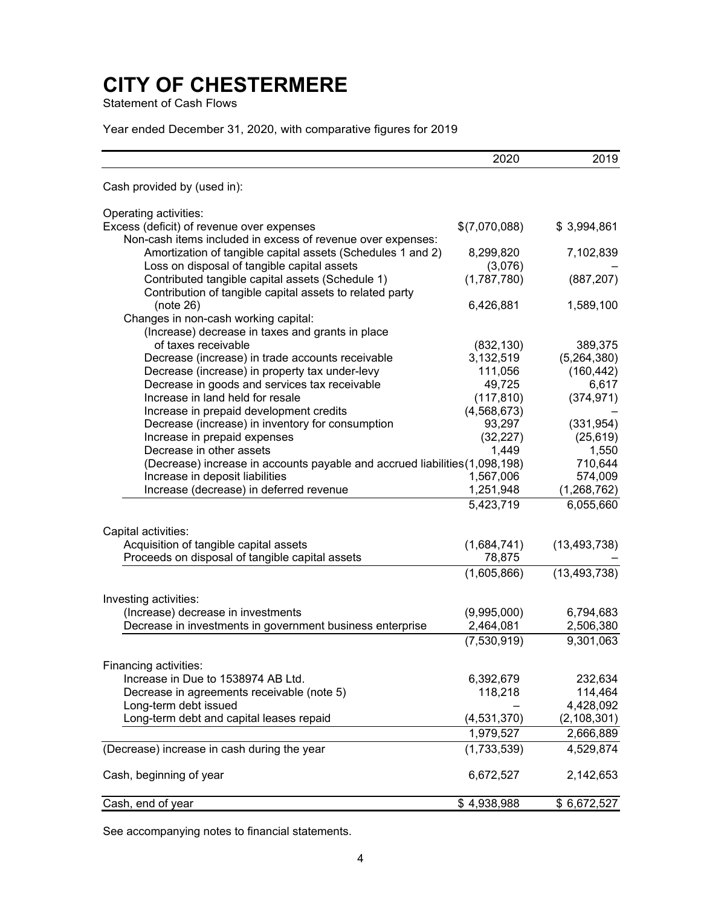Statement of Cash Flows

Year ended December 31, 2020, with comparative figures for 2019

|                                                                                                 | 2020              | 2019                |
|-------------------------------------------------------------------------------------------------|-------------------|---------------------|
| Cash provided by (used in):                                                                     |                   |                     |
| Operating activities:                                                                           |                   |                     |
| Excess (deficit) of revenue over expenses                                                       | \$(7,070,088)     | \$3,994,861         |
| Non-cash items included in excess of revenue over expenses:                                     |                   |                     |
| Amortization of tangible capital assets (Schedules 1 and 2)                                     | 8,299,820         | 7,102,839           |
| Loss on disposal of tangible capital assets                                                     | (3,076)           |                     |
| Contributed tangible capital assets (Schedule 1)                                                | (1,787,780)       | (887, 207)          |
| Contribution of tangible capital assets to related party                                        |                   |                     |
| (note 26)                                                                                       | 6,426,881         | 1,589,100           |
| Changes in non-cash working capital:                                                            |                   |                     |
| (Increase) decrease in taxes and grants in place                                                |                   |                     |
| of taxes receivable                                                                             | (832, 130)        | 389,375             |
| Decrease (increase) in trade accounts receivable                                                | 3,132,519         | (5,264,380)         |
| Decrease (increase) in property tax under-levy<br>Decrease in goods and services tax receivable | 111,056<br>49,725 | (160, 442)<br>6,617 |
| Increase in land held for resale                                                                | (117, 810)        | (374, 971)          |
| Increase in prepaid development credits                                                         | (4,568,673)       |                     |
| Decrease (increase) in inventory for consumption                                                | 93,297            | (331, 954)          |
| Increase in prepaid expenses                                                                    | (32, 227)         | (25, 619)           |
| Decrease in other assets                                                                        | 1,449             | 1,550               |
| (Decrease) increase in accounts payable and accrued liabilities (1,098,198)                     |                   | 710,644             |
| Increase in deposit liabilities                                                                 | 1,567,006         | 574,009             |
| Increase (decrease) in deferred revenue                                                         | 1,251,948         | (1,268,762)         |
|                                                                                                 | 5,423,719         | 6,055,660           |
| Capital activities:                                                                             |                   |                     |
| Acquisition of tangible capital assets                                                          | (1,684,741)       | (13, 493, 738)      |
| Proceeds on disposal of tangible capital assets                                                 | 78,875            |                     |
|                                                                                                 | (1,605,866)       | (13, 493, 738)      |
| Investing activities:                                                                           |                   |                     |
| (Increase) decrease in investments                                                              | (9,995,000)       | 6,794,683           |
| Decrease in investments in government business enterprise                                       | 2,464,081         | 2,506,380           |
|                                                                                                 | (7,530,919)       | 9,301,063           |
| Financing activities:                                                                           |                   |                     |
| Increase in Due to 1538974 AB Ltd.                                                              | 6,392,679         | 232,634             |
| Decrease in agreements receivable (note 5)                                                      | 118,218           | 114,464             |
| Long-term debt issued                                                                           |                   | 4,428,092           |
| Long-term debt and capital leases repaid                                                        | (4,531,370)       | (2, 108, 301)       |
|                                                                                                 | 1,979,527         | 2,666,889           |
| (Decrease) increase in cash during the year                                                     | (1,733,539)       | 4,529,874           |
| Cash, beginning of year                                                                         | 6,672,527         | 2,142,653           |
| Cash, end of year                                                                               | \$4,938,988       | \$6,672,527         |

See accompanying notes to financial statements.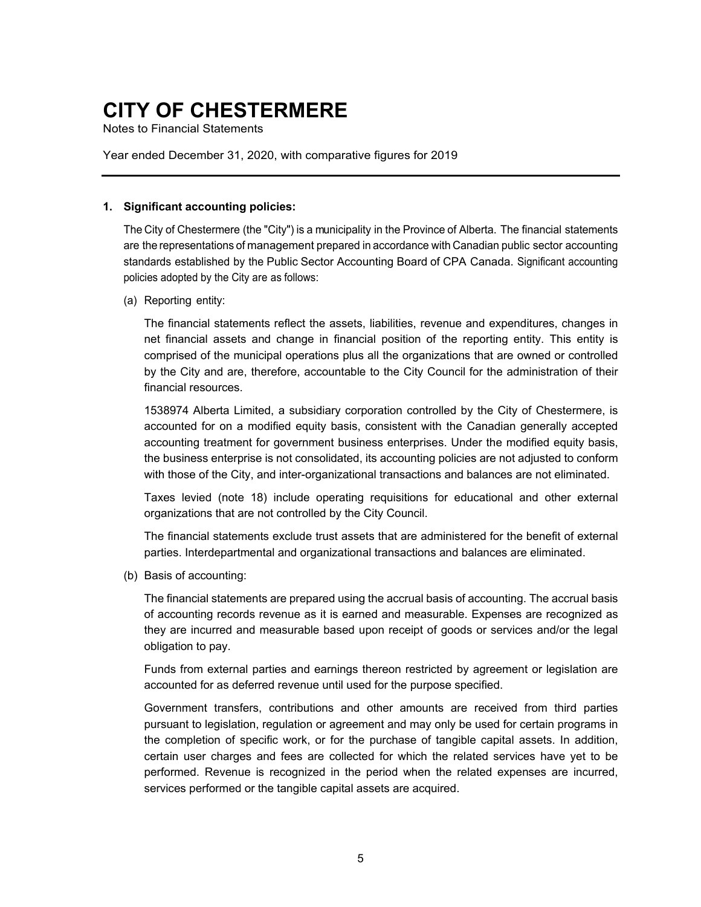Notes to Financial Statements

Year ended December 31, 2020, with comparative figures for 2019

#### **1. Significant accounting policies:**

The City of Chestermere (the "City") is a municipality in the Province of Alberta. The financial statements are the representations of management prepared in accordance with Canadian public sector accounting standards established by the Public Sector Accounting Board of CPA Canada. Significant accounting policies adopted by the City are as follows:

(a) Reporting entity:

The financial statements reflect the assets, liabilities, revenue and expenditures, changes in net financial assets and change in financial position of the reporting entity. This entity is comprised of the municipal operations plus all the organizations that are owned or controlled by the City and are, therefore, accountable to the City Council for the administration of their financial resources.

1538974 Alberta Limited, a subsidiary corporation controlled by the City of Chestermere, is accounted for on a modified equity basis, consistent with the Canadian generally accepted accounting treatment for government business enterprises. Under the modified equity basis, the business enterprise is not consolidated, its accounting policies are not adjusted to conform with those of the City, and inter-organizational transactions and balances are not eliminated.

Taxes levied (note 18) include operating requisitions for educational and other external organizations that are not controlled by the City Council.

The financial statements exclude trust assets that are administered for the benefit of external parties. Interdepartmental and organizational transactions and balances are eliminated.

(b) Basis of accounting:

The financial statements are prepared using the accrual basis of accounting. The accrual basis of accounting records revenue as it is earned and measurable. Expenses are recognized as they are incurred and measurable based upon receipt of goods or services and/or the legal obligation to pay.

Funds from external parties and earnings thereon restricted by agreement or legislation are accounted for as deferred revenue until used for the purpose specified.

Government transfers, contributions and other amounts are received from third parties pursuant to legislation, regulation or agreement and may only be used for certain programs in the completion of specific work, or for the purchase of tangible capital assets. In addition, certain user charges and fees are collected for which the related services have yet to be performed. Revenue is recognized in the period when the related expenses are incurred, services performed or the tangible capital assets are acquired.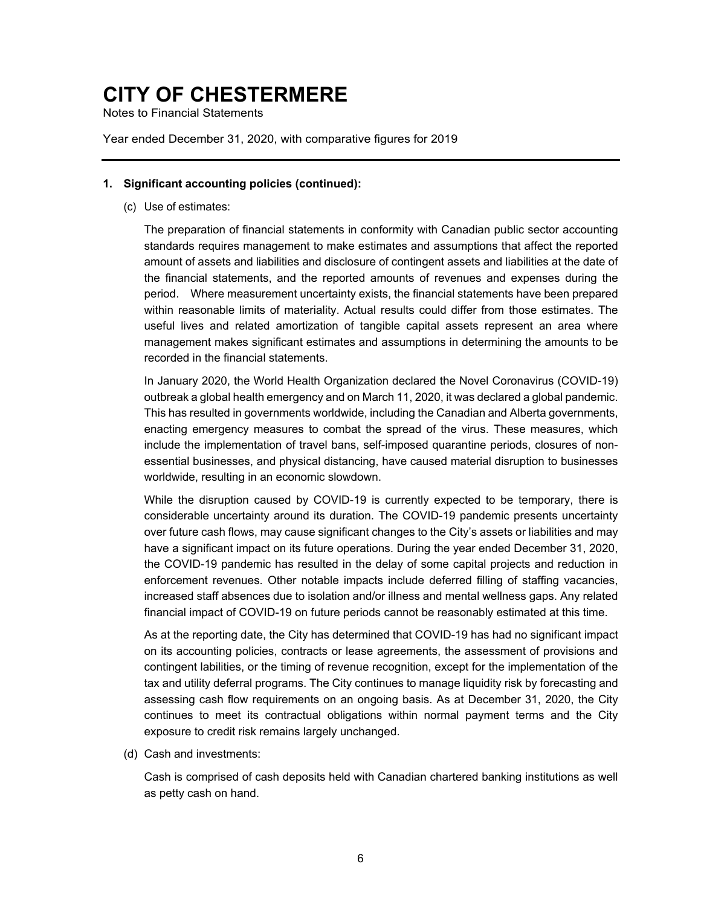Notes to Financial Statements

Year ended December 31, 2020, with comparative figures for 2019

#### **1. Significant accounting policies (continued):**

(c) Use of estimates:

The preparation of financial statements in conformity with Canadian public sector accounting standards requires management to make estimates and assumptions that affect the reported amount of assets and liabilities and disclosure of contingent assets and liabilities at the date of the financial statements, and the reported amounts of revenues and expenses during the period. Where measurement uncertainty exists, the financial statements have been prepared within reasonable limits of materiality. Actual results could differ from those estimates. The useful lives and related amortization of tangible capital assets represent an area where management makes significant estimates and assumptions in determining the amounts to be recorded in the financial statements.

In January 2020, the World Health Organization declared the Novel Coronavirus (COVID-19) outbreak a global health emergency and on March 11, 2020, it was declared a global pandemic. This has resulted in governments worldwide, including the Canadian and Alberta governments, enacting emergency measures to combat the spread of the virus. These measures, which include the implementation of travel bans, self-imposed quarantine periods, closures of nonessential businesses, and physical distancing, have caused material disruption to businesses worldwide, resulting in an economic slowdown.

While the disruption caused by COVID-19 is currently expected to be temporary, there is considerable uncertainty around its duration. The COVID-19 pandemic presents uncertainty over future cash flows, may cause significant changes to the City's assets or liabilities and may have a significant impact on its future operations. During the year ended December 31, 2020, the COVID-19 pandemic has resulted in the delay of some capital projects and reduction in enforcement revenues. Other notable impacts include deferred filling of staffing vacancies, increased staff absences due to isolation and/or illness and mental wellness gaps. Any related financial impact of COVID-19 on future periods cannot be reasonably estimated at this time.

As at the reporting date, the City has determined that COVID-19 has had no significant impact on its accounting policies, contracts or lease agreements, the assessment of provisions and contingent labilities, or the timing of revenue recognition, except for the implementation of the tax and utility deferral programs. The City continues to manage liquidity risk by forecasting and assessing cash flow requirements on an ongoing basis. As at December 31, 2020, the City continues to meet its contractual obligations within normal payment terms and the City exposure to credit risk remains largely unchanged.

(d) Cash and investments:

Cash is comprised of cash deposits held with Canadian chartered banking institutions as well as petty cash on hand.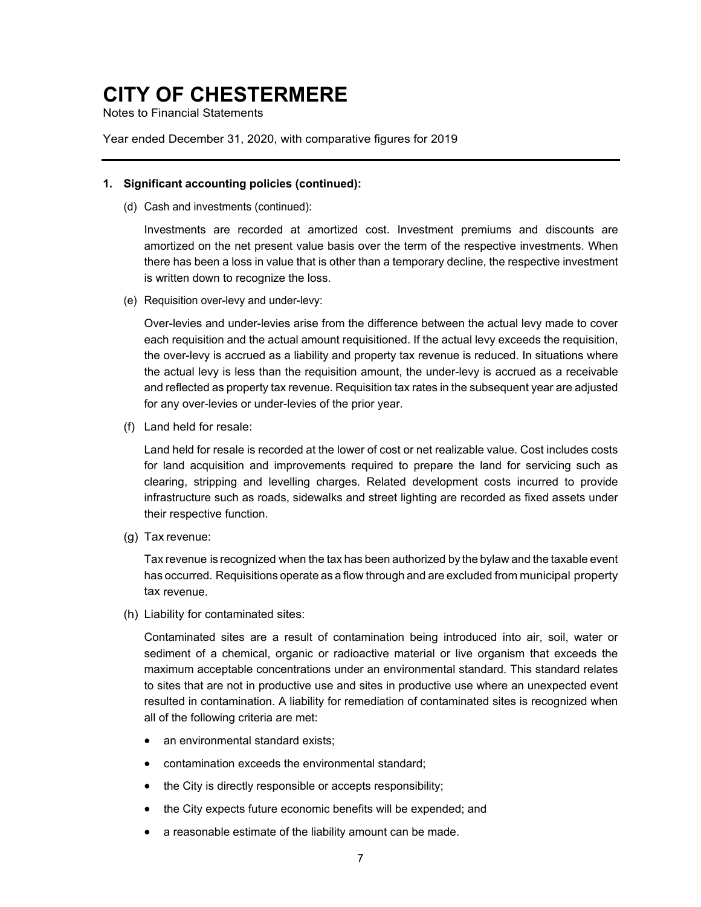Notes to Financial Statements

Year ended December 31, 2020, with comparative figures for 2019

#### **1. Significant accounting policies (continued):**

(d) Cash and investments (continued):

Investments are recorded at amortized cost. Investment premiums and discounts are amortized on the net present value basis over the term of the respective investments. When there has been a loss in value that is other than a temporary decline, the respective investment is written down to recognize the loss.

(e) Requisition over-levy and under-levy:

Over-levies and under-levies arise from the difference between the actual levy made to cover each requisition and the actual amount requisitioned. If the actual levy exceeds the requisition, the over-levy is accrued as a liability and property tax revenue is reduced. In situations where the actual levy is less than the requisition amount, the under-levy is accrued as a receivable and reflected as property tax revenue. Requisition tax rates in the subsequent year are adjusted for any over-levies or under-levies of the prior year.

(f) Land held for resale:

Land held for resale is recorded at the lower of cost or net realizable value. Cost includes costs for land acquisition and improvements required to prepare the land for servicing such as clearing, stripping and levelling charges. Related development costs incurred to provide infrastructure such as roads, sidewalks and street lighting are recorded as fixed assets under their respective function.

(g) Tax revenue:

Tax revenue is recognized when the tax has been authorized by the bylaw and the taxable event has occurred. Requisitions operate as a flow through and are excluded from municipal property tax revenue.

(h) Liability for contaminated sites:

Contaminated sites are a result of contamination being introduced into air, soil, water or sediment of a chemical, organic or radioactive material or live organism that exceeds the maximum acceptable concentrations under an environmental standard. This standard relates to sites that are not in productive use and sites in productive use where an unexpected event resulted in contamination. A liability for remediation of contaminated sites is recognized when all of the following criteria are met:

- an environmental standard exists:
- contamination exceeds the environmental standard;
- the City is directly responsible or accepts responsibility;
- the City expects future economic benefits will be expended; and
- a reasonable estimate of the liability amount can be made.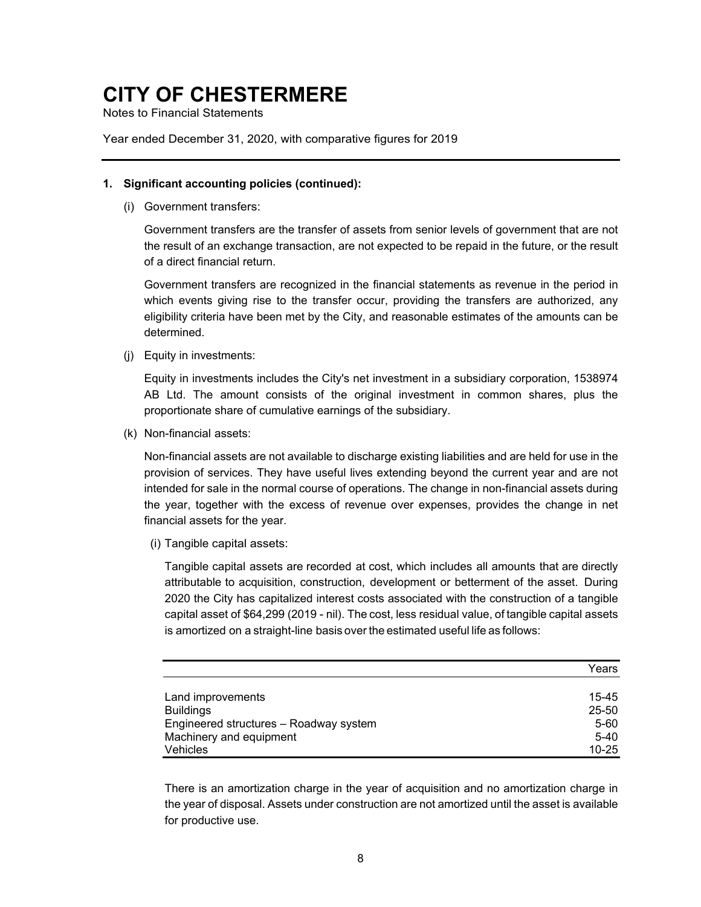Notes to Financial Statements

Year ended December 31, 2020, with comparative figures for 2019

#### **1. Significant accounting policies (continued):**

(i) Government transfers:

Government transfers are the transfer of assets from senior levels of government that are not the result of an exchange transaction, are not expected to be repaid in the future, or the result of a direct financial return.

Government transfers are recognized in the financial statements as revenue in the period in which events giving rise to the transfer occur, providing the transfers are authorized, any eligibility criteria have been met by the City, and reasonable estimates of the amounts can be determined.

(j) Equity in investments:

Equity in investments includes the City's net investment in a subsidiary corporation, 1538974 AB Ltd. The amount consists of the original investment in common shares, plus the proportionate share of cumulative earnings of the subsidiary.

(k) Non-financial assets:

Non-financial assets are not available to discharge existing liabilities and are held for use in the provision of services. They have useful lives extending beyond the current year and are not intended for sale in the normal course of operations. The change in non-financial assets during the year, together with the excess of revenue over expenses, provides the change in net financial assets for the year.

(i) Tangible capital assets:

Tangible capital assets are recorded at cost, which includes all amounts that are directly attributable to acquisition, construction, development or betterment of the asset. During 2020 the City has capitalized interest costs associated with the construction of a tangible capital asset of \$64,299 (2019 - nil). The cost, less residual value, of tangible capital assets is amortized on a straight-line basis over the estimated useful life as follows:

|                                        | Years     |
|----------------------------------------|-----------|
|                                        |           |
| Land improvements                      | 15-45     |
| <b>Buildings</b>                       | $25 - 50$ |
| Engineered structures - Roadway system | $5 - 60$  |
| Machinery and equipment                | $5 - 40$  |
| Vehicles                               | $10 - 25$ |

There is an amortization charge in the year of acquisition and no amortization charge in the year of disposal. Assets under construction are not amortized until the asset is available for productive use.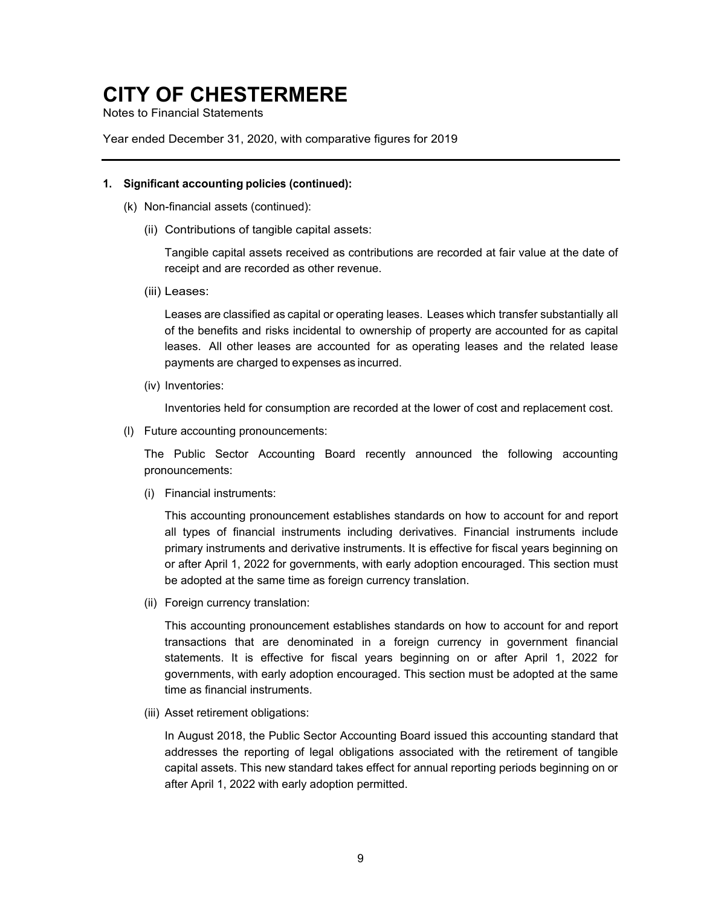Notes to Financial Statements

Year ended December 31, 2020, with comparative figures for 2019

#### **1. Significant accounting policies (continued):**

- (k) Non-financial assets (continued):
	- (ii) Contributions of tangible capital assets:

Tangible capital assets received as contributions are recorded at fair value at the date of receipt and are recorded as other revenue.

(iii) Leases:

Leases are classified as capital or operating leases. Leases which transfer substantially all of the benefits and risks incidental to ownership of property are accounted for as capital leases. All other leases are accounted for as operating leases and the related lease payments are charged to expenses as incurred.

(iv) Inventories:

Inventories held for consumption are recorded at the lower of cost and replacement cost.

(l) Future accounting pronouncements:

The Public Sector Accounting Board recently announced the following accounting pronouncements:

(i) Financial instruments:

This accounting pronouncement establishes standards on how to account for and report all types of financial instruments including derivatives. Financial instruments include primary instruments and derivative instruments. It is effective for fiscal years beginning on or after April 1, 2022 for governments, with early adoption encouraged. This section must be adopted at the same time as foreign currency translation.

(ii) Foreign currency translation:

This accounting pronouncement establishes standards on how to account for and report transactions that are denominated in a foreign currency in government financial statements. It is effective for fiscal years beginning on or after April 1, 2022 for governments, with early adoption encouraged. This section must be adopted at the same time as financial instruments.

(iii) Asset retirement obligations:

In August 2018, the Public Sector Accounting Board issued this accounting standard that addresses the reporting of legal obligations associated with the retirement of tangible capital assets. This new standard takes effect for annual reporting periods beginning on or after April 1, 2022 with early adoption permitted.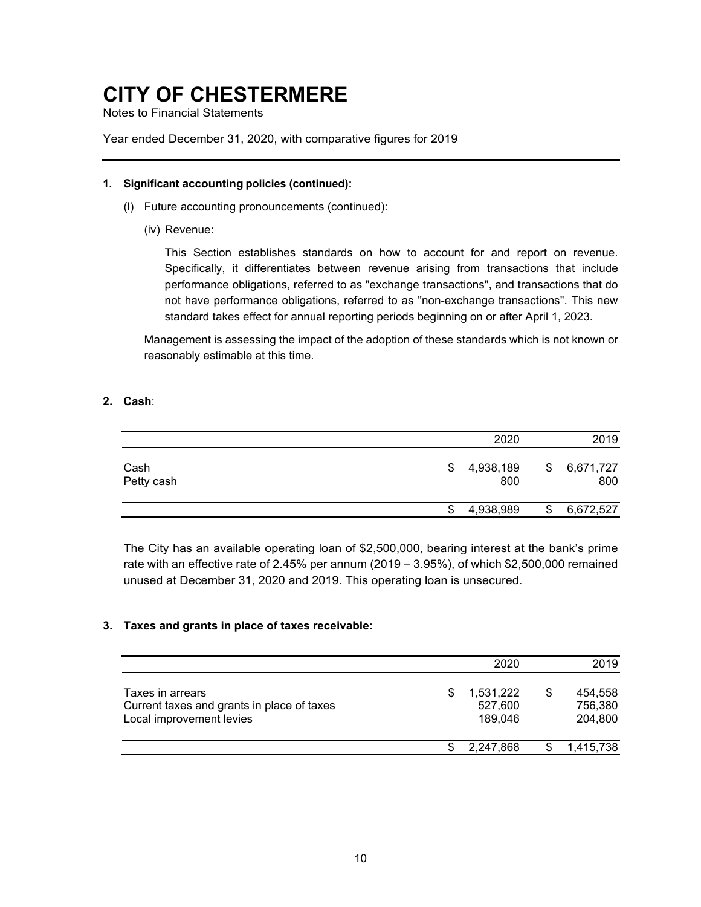Notes to Financial Statements

Year ended December 31, 2020, with comparative figures for 2019

### **1. Significant accounting policies (continued):**

- (l) Future accounting pronouncements (continued):
	- (iv) Revenue:

This Section establishes standards on how to account for and report on revenue. Specifically, it differentiates between revenue arising from transactions that include performance obligations, referred to as "exchange transactions", and transactions that do not have performance obligations, referred to as "non-exchange transactions". This new standard takes effect for annual reporting periods beginning on or after April 1, 2023.

Management is assessing the impact of the adoption of these standards which is not known or reasonably estimable at this time.

#### **2. Cash**:

|                    | 2020                   | 2019                   |
|--------------------|------------------------|------------------------|
| Cash<br>Petty cash | \$<br>4,938,189<br>800 | \$<br>6,671,727<br>800 |
|                    | 4,938,989              | \$<br>6,672,527        |

The City has an available operating loan of \$2,500,000, bearing interest at the bank's prime rate with an effective rate of 2.45% per annum  $(2019 - 3.95%)$ , of which \$2,500,000 remained unused at December 31, 2020 and 2019. This operating loan is unsecured.

### **3. Taxes and grants in place of taxes receivable:**

|                                                                                            | 2020                            |   | 2019                          |
|--------------------------------------------------------------------------------------------|---------------------------------|---|-------------------------------|
| Taxes in arrears<br>Current taxes and grants in place of taxes<br>Local improvement levies | 1,531,222<br>527,600<br>189,046 | S | 454,558<br>756,380<br>204,800 |
|                                                                                            | 2,247,868                       |   | 1,415,738                     |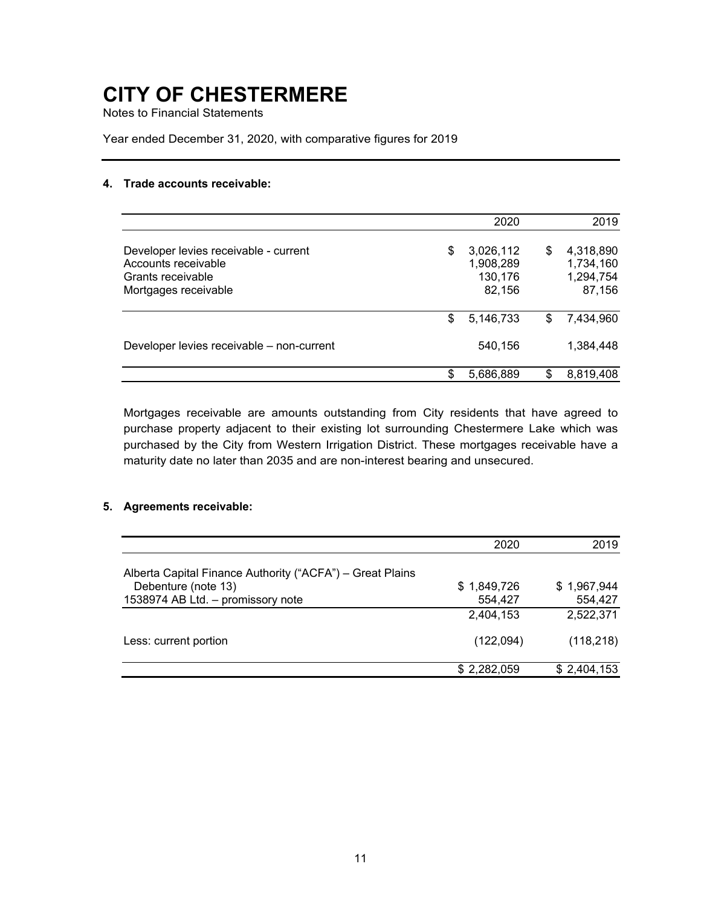Notes to Financial Statements

Year ended December 31, 2020, with comparative figures for 2019

### **4. Trade accounts receivable:**

|                                                                                                           |    | 2020                                        |    | 2019                                          |
|-----------------------------------------------------------------------------------------------------------|----|---------------------------------------------|----|-----------------------------------------------|
| Developer levies receivable - current<br>Accounts receivable<br>Grants receivable<br>Mortgages receivable | \$ | 3,026,112<br>1,908,289<br>130,176<br>82,156 | \$ | 4,318,890<br>1,734,160<br>1,294,754<br>87,156 |
|                                                                                                           | S  | 5,146,733                                   | \$ | 7,434,960                                     |
| Developer levies receivable – non-current                                                                 |    | 540,156                                     |    | 1,384,448                                     |
|                                                                                                           |    | 5,686,889                                   | S  | 8,819,408                                     |

Mortgages receivable are amounts outstanding from City residents that have agreed to purchase property adjacent to their existing lot surrounding Chestermere Lake which was purchased by the City from Western Irrigation District. These mortgages receivable have a maturity date no later than 2035 and are non-interest bearing and unsecured.

### **5. Agreements receivable:**

|                                                           | 2020        | 2019        |
|-----------------------------------------------------------|-------------|-------------|
| Alberta Capital Finance Authority ("ACFA") - Great Plains |             |             |
| Debenture (note 13)                                       | \$1,849,726 | \$1,967,944 |
| 1538974 AB Ltd. - promissory note                         | 554,427     | 554,427     |
|                                                           | 2,404,153   | 2,522,371   |
| Less: current portion                                     | (122,094)   | (118, 218)  |
|                                                           | \$2,282,059 | \$2,404,153 |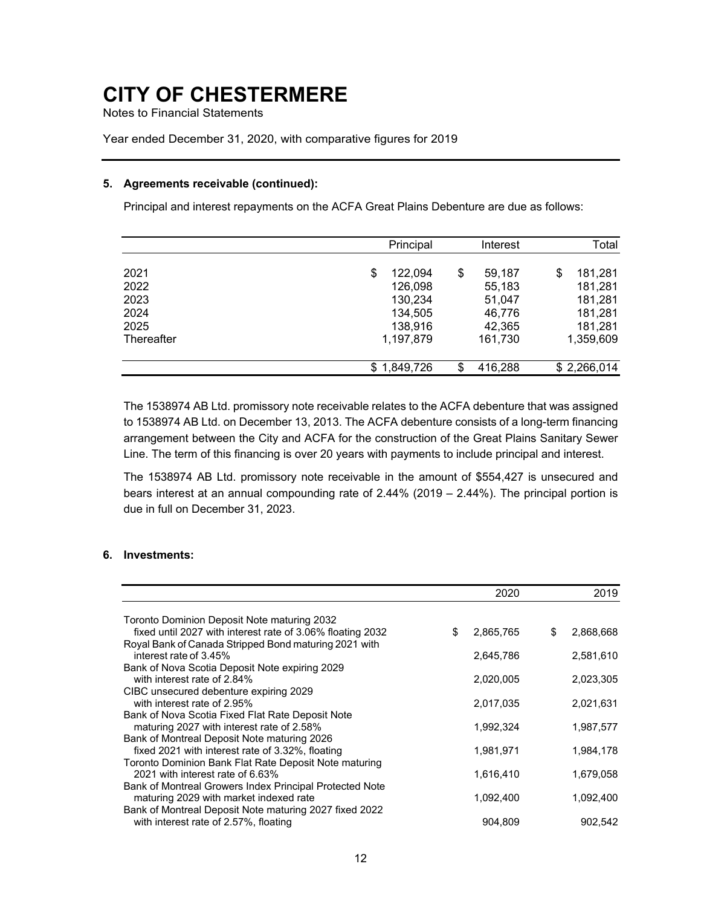Notes to Financial Statements

Year ended December 31, 2020, with comparative figures for 2019

#### **5. Agreements receivable (continued):**

Principal and interest repayments on the ACFA Great Plains Debenture are due as follows:

|            | Principal     | Interest      | Total         |
|------------|---------------|---------------|---------------|
| 2021       | 122,094<br>\$ | \$<br>59,187  | \$<br>181,281 |
| 2022       | 126,098       | 55,183        | 181,281       |
| 2023       | 130,234       | 51,047        | 181,281       |
| 2024       | 134,505       | 46,776        | 181,281       |
| 2025       | 138,916       | 42,365        | 181,281       |
| Thereafter | 1,197,879     | 161,730       | 1,359,609     |
|            | \$1,849,726   | \$<br>416,288 | \$2,266,014   |

The 1538974 AB Ltd. promissory note receivable relates to the ACFA debenture that was assigned to 1538974 AB Ltd. on December 13, 2013. The ACFA debenture consists of a long-term financing arrangement between the City and ACFA for the construction of the Great Plains Sanitary Sewer Line. The term of this financing is over 20 years with payments to include principal and interest.

The 1538974 AB Ltd. promissory note receivable in the amount of \$554,427 is unsecured and bears interest at an annual compounding rate of 2.44% (2019 – 2.44%). The principal portion is due in full on December 31, 2023.

### **6. Investments:**

|                                                            | 2020            | 2019            |
|------------------------------------------------------------|-----------------|-----------------|
| Toronto Dominion Deposit Note maturing 2032                |                 |                 |
| fixed until 2027 with interest rate of 3.06% floating 2032 | \$<br>2,865,765 | \$<br>2,868,668 |
| Royal Bank of Canada Stripped Bond maturing 2021 with      |                 |                 |
| interest rate of 3.45%                                     | 2,645,786       | 2,581,610       |
| Bank of Nova Scotia Deposit Note expiring 2029             |                 |                 |
| with interest rate of 2.84%                                | 2,020,005       | 2,023,305       |
| CIBC unsecured debenture expiring 2029                     |                 |                 |
| with interest rate of 2.95%                                | 2,017,035       | 2,021,631       |
| Bank of Nova Scotia Fixed Flat Rate Deposit Note           |                 |                 |
| maturing 2027 with interest rate of 2.58%                  | 1,992,324       | 1,987,577       |
| Bank of Montreal Deposit Note maturing 2026                |                 |                 |
| fixed 2021 with interest rate of 3.32%, floating           | 1,981,971       | 1,984,178       |
| Toronto Dominion Bank Flat Rate Deposit Note maturing      |                 |                 |
| 2021 with interest rate of 6.63%                           | 1,616,410       | 1,679,058       |
| Bank of Montreal Growers Index Principal Protected Note    |                 |                 |
| maturing 2029 with market indexed rate                     | 1,092,400       | 1,092,400       |
| Bank of Montreal Deposit Note maturing 2027 fixed 2022     |                 |                 |
| with interest rate of 2.57%, floating                      | 904,809         | 902,542         |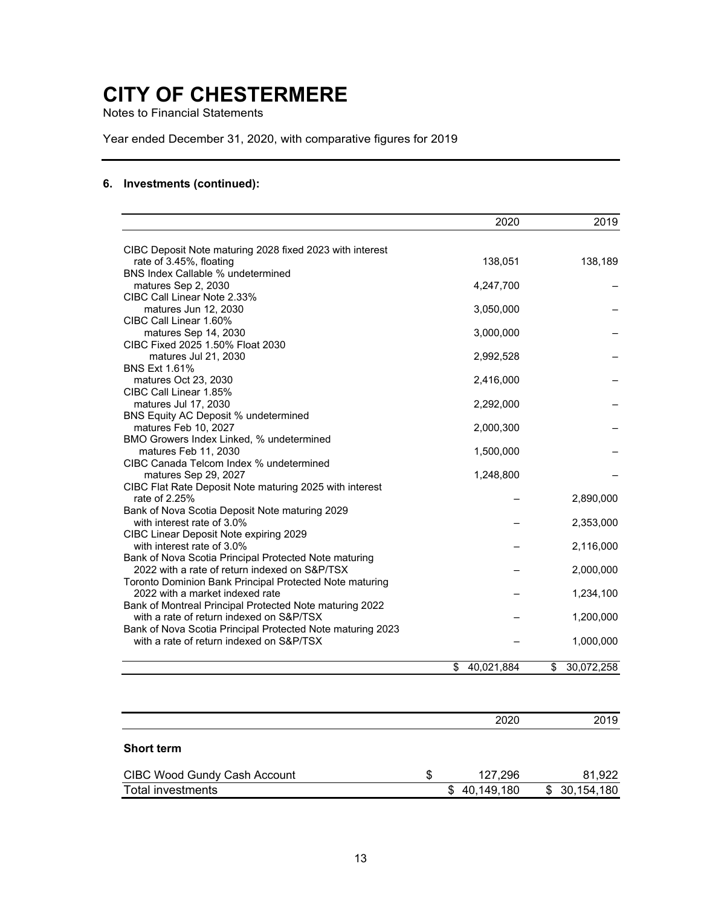Notes to Financial Statements

Year ended December 31, 2020, with comparative figures for 2019

### **6. Investments (continued):**

|                                                            | 2020             | 2019             |
|------------------------------------------------------------|------------------|------------------|
|                                                            |                  |                  |
| CIBC Deposit Note maturing 2028 fixed 2023 with interest   |                  |                  |
| rate of 3.45%, floating                                    | 138,051          | 138,189          |
| BNS Index Callable % undetermined                          |                  |                  |
| matures Sep 2, 2030                                        | 4,247,700        |                  |
| CIBC Call Linear Note 2.33%                                |                  |                  |
| matures Jun 12, 2030                                       | 3,050,000        |                  |
| CIBC Call Linear 1.60%                                     |                  |                  |
| matures Sep 14, 2030                                       | 3,000,000        |                  |
| CIBC Fixed 2025 1.50% Float 2030                           |                  |                  |
| matures Jul 21, 2030                                       | 2,992,528        |                  |
| <b>BNS Ext 1.61%</b>                                       |                  |                  |
| matures Oct 23, 2030                                       | 2,416,000        |                  |
| CIBC Call Linear 1.85%                                     |                  |                  |
| matures Jul 17, 2030                                       | 2,292,000        |                  |
| BNS Equity AC Deposit % undetermined                       |                  |                  |
| matures Feb 10, 2027                                       | 2,000,300        |                  |
| BMO Growers Index Linked, % undetermined                   |                  |                  |
| matures Feb 11, 2030                                       | 1,500,000        |                  |
| CIBC Canada Telcom Index % undetermined                    |                  |                  |
| matures Sep 29, 2027                                       | 1,248,800        |                  |
| CIBC Flat Rate Deposit Note maturing 2025 with interest    |                  |                  |
| rate of 2.25%                                              |                  | 2,890,000        |
| Bank of Nova Scotia Deposit Note maturing 2029             |                  |                  |
| with interest rate of 3.0%                                 |                  | 2,353,000        |
| CIBC Linear Deposit Note expiring 2029                     |                  |                  |
| with interest rate of 3.0%                                 |                  | 2,116,000        |
| Bank of Nova Scotia Principal Protected Note maturing      |                  |                  |
| 2022 with a rate of return indexed on S&P/TSX              |                  | 2,000,000        |
| Toronto Dominion Bank Principal Protected Note maturing    |                  |                  |
| 2022 with a market indexed rate                            |                  | 1,234,100        |
| Bank of Montreal Principal Protected Note maturing 2022    |                  |                  |
| with a rate of return indexed on S&P/TSX                   |                  | 1,200,000        |
| Bank of Nova Scotia Principal Protected Note maturing 2023 |                  |                  |
| with a rate of return indexed on S&P/TSX                   |                  | 1,000,000        |
|                                                            | \$<br>40,021,884 | \$<br>30,072,258 |

|                                     |   | 2020              | 2019         |
|-------------------------------------|---|-------------------|--------------|
| <b>Short term</b>                   |   |                   |              |
| <b>CIBC Wood Gundy Cash Account</b> | S | 127,296           | 81,922       |
| Total investments                   |   | 40,149,180<br>\$. | \$30,154,180 |
|                                     |   |                   |              |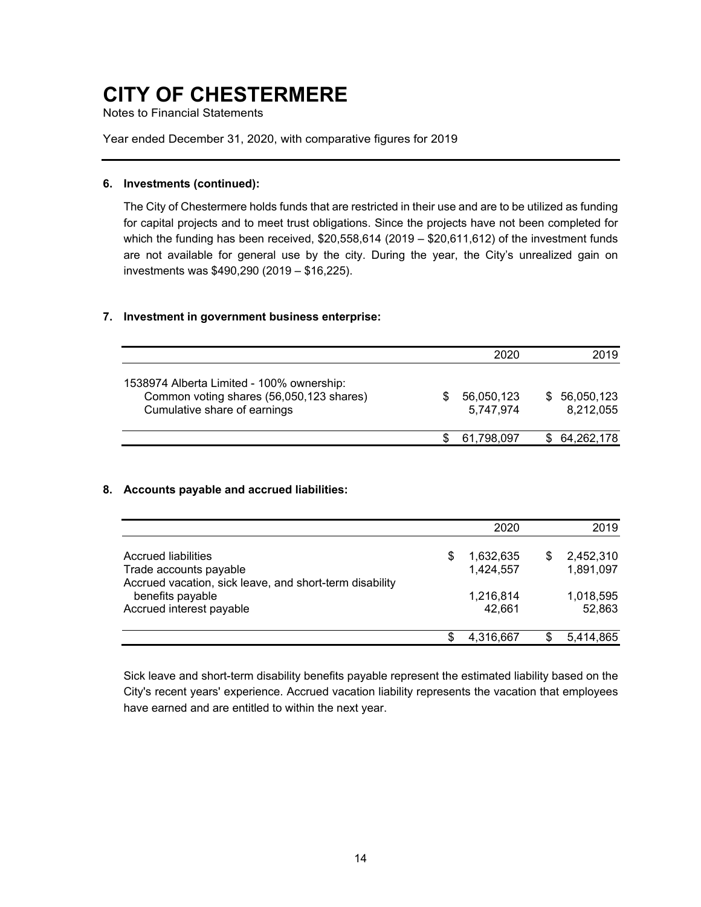Notes to Financial Statements

Year ended December 31, 2020, with comparative figures for 2019

#### **6. Investments (continued):**

The City of Chestermere holds funds that are restricted in their use and are to be utilized as funding for capital projects and to meet trust obligations. Since the projects have not been completed for which the funding has been received, \$20,558,614 (2019 – \$20,611,612) of the investment funds are not available for general use by the city. During the year, the City's unrealized gain on investments was \$490,290 (2019 – \$16,225).

#### **7. Investment in government business enterprise:**

|                                                                                                                       | 2020                    | 2019                           |
|-----------------------------------------------------------------------------------------------------------------------|-------------------------|--------------------------------|
| 1538974 Alberta Limited - 100% ownership:<br>Common voting shares (56,050,123 shares)<br>Cumulative share of earnings | 56,050,123<br>5,747,974 | 56,050,123<br>SS.<br>8,212,055 |
|                                                                                                                       | 61,798,097              | 64,262,178                     |

### **8. Accounts payable and accrued liabilities:**

|                                                                                                                 |   | 2020                   |   | 2019                   |
|-----------------------------------------------------------------------------------------------------------------|---|------------------------|---|------------------------|
| <b>Accrued liabilities</b><br>Trade accounts payable<br>Accrued vacation, sick leave, and short-term disability | S | 1,632,635<br>1,424,557 | S | 2,452,310<br>1,891,097 |
| benefits payable<br>Accrued interest payable                                                                    |   | 1,216,814<br>42,661    |   | 1,018,595<br>52,863    |
|                                                                                                                 |   | 4,316,667              |   | 5,414,865              |

Sick leave and short-term disability benefits payable represent the estimated liability based on the City's recent years' experience. Accrued vacation liability represents the vacation that employees have earned and are entitled to within the next year.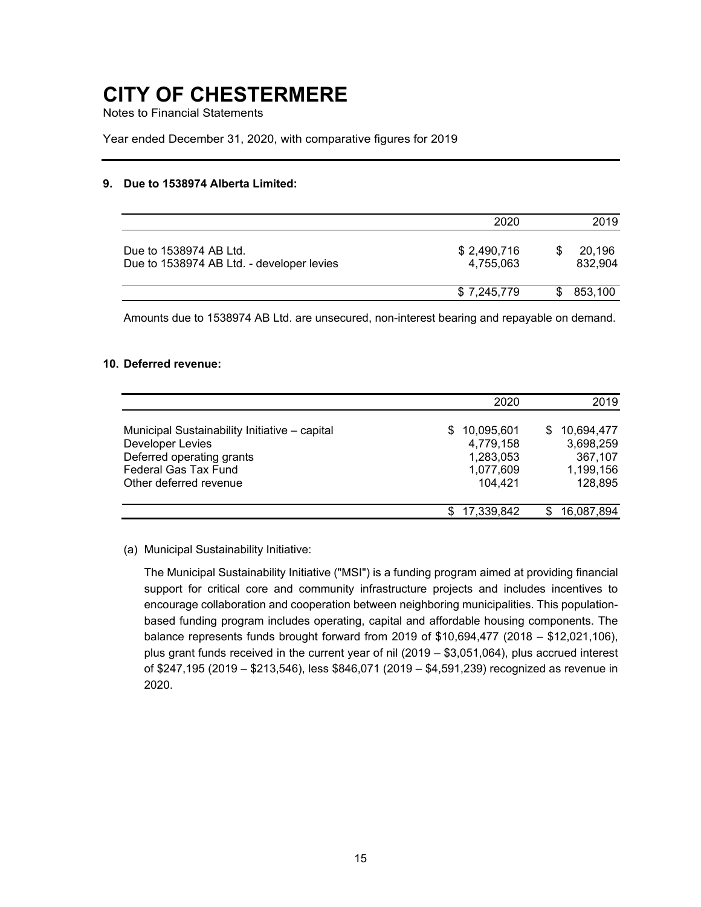Notes to Financial Statements

Year ended December 31, 2020, with comparative figures for 2019

#### **9. Due to 1538974 Alberta Limited:**

|                                                                     | 2020                     | 2019              |
|---------------------------------------------------------------------|--------------------------|-------------------|
| Due to 1538974 AB Ltd.<br>Due to 1538974 AB Ltd. - developer levies | \$2,490,716<br>4,755,063 | 20,196<br>832.904 |
|                                                                     | \$7,245,779              | 853,100           |

Amounts due to 1538974 AB Ltd. are unsecured, non-interest bearing and repayable on demand.

#### **10. Deferred revenue:**

|                                                                                                                                                         | 2020                                                              | 2019                                                             |
|---------------------------------------------------------------------------------------------------------------------------------------------------------|-------------------------------------------------------------------|------------------------------------------------------------------|
| Municipal Sustainability Initiative - capital<br>Developer Levies<br>Deferred operating grants<br><b>Federal Gas Tax Fund</b><br>Other deferred revenue | 10,095,601<br>S<br>4,779,158<br>1,283,053<br>1,077,609<br>104.421 | 10,694,477<br>S.<br>3,698,259<br>367,107<br>1,199,156<br>128,895 |
|                                                                                                                                                         | 17,339,842                                                        | 16,087,894                                                       |

#### (a) Municipal Sustainability Initiative:

The Municipal Sustainability Initiative ("MSI") is a funding program aimed at providing financial support for critical core and community infrastructure projects and includes incentives to encourage collaboration and cooperation between neighboring municipalities. This populationbased funding program includes operating, capital and affordable housing components. The balance represents funds brought forward from 2019 of \$10,694,477 (2018 – \$12,021,106), plus grant funds received in the current year of nil (2019 – \$3,051,064), plus accrued interest of \$247,195 (2019 – \$213,546), less \$846,071 (2019 – \$4,591,239) recognized as revenue in 2020.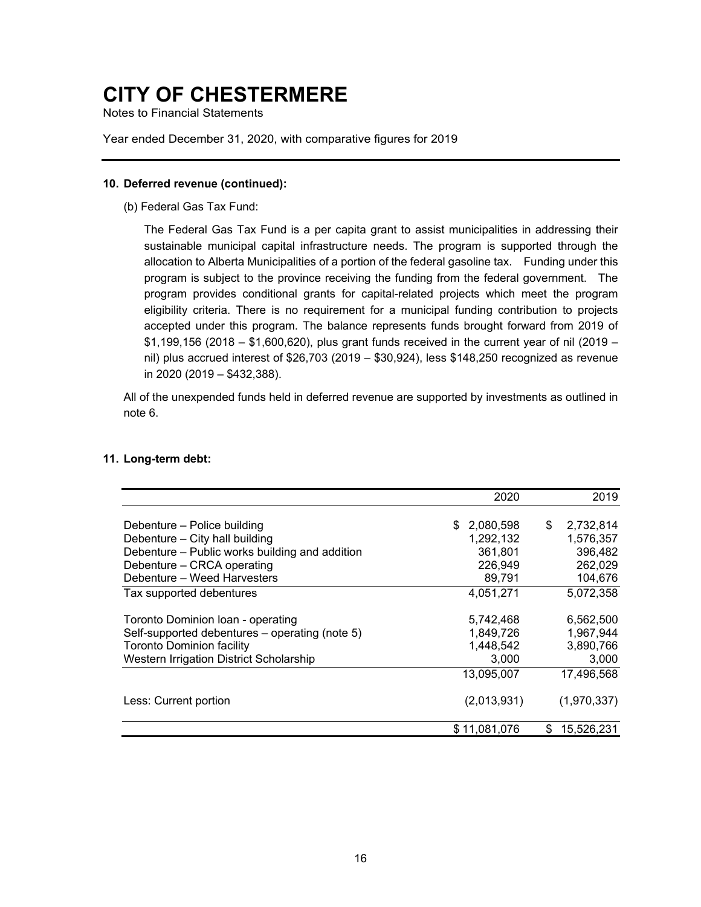Notes to Financial Statements

Year ended December 31, 2020, with comparative figures for 2019

#### **10. Deferred revenue (continued):**

(b) Federal Gas Tax Fund:

The Federal Gas Tax Fund is a per capita grant to assist municipalities in addressing their sustainable municipal capital infrastructure needs. The program is supported through the allocation to Alberta Municipalities of a portion of the federal gasoline tax. Funding under this program is subject to the province receiving the funding from the federal government. The program provides conditional grants for capital-related projects which meet the program eligibility criteria. There is no requirement for a municipal funding contribution to projects accepted under this program. The balance represents funds brought forward from 2019 of  $$1,199,156$  (2018 –  $$1,600,620$ ), plus grant funds received in the current year of nil (2019 – nil) plus accrued interest of \$26,703 (2019 – \$30,924), less \$148,250 recognized as revenue in 2020 (2019 – \$432,388).

All of the unexpended funds held in deferred revenue are supported by investments as outlined in note 6.

|                                                | 2020             | 2019              |
|------------------------------------------------|------------------|-------------------|
| Debenture – Police building                    | 2,080,598<br>\$. | 2,732,814<br>\$   |
| Debenture - City hall building                 | 1,292,132        | 1,576,357         |
| Debenture - Public works building and addition | 361,801          | 396,482           |
| Debenture - CRCA operating                     | 226,949          | 262,029           |
| Debenture - Weed Harvesters                    | 89,791           | 104,676           |
| Tax supported debentures                       | 4,051,271        | 5,072,358         |
| Toronto Dominion loan - operating              | 5,742,468        | 6,562,500         |
| Self-supported debentures - operating (note 5) | 1,849,726        | 1,967,944         |
| <b>Toronto Dominion facility</b>               | 1,448,542        | 3,890,766         |
| Western Irrigation District Scholarship        | 3,000            | 3,000             |
|                                                | 13,095,007       | 17,496,568        |
| Less: Current portion                          | (2,013,931)      | (1,970,337)       |
|                                                | \$11,081,076     | 15,526,231<br>\$. |

### **11. Long-term debt:**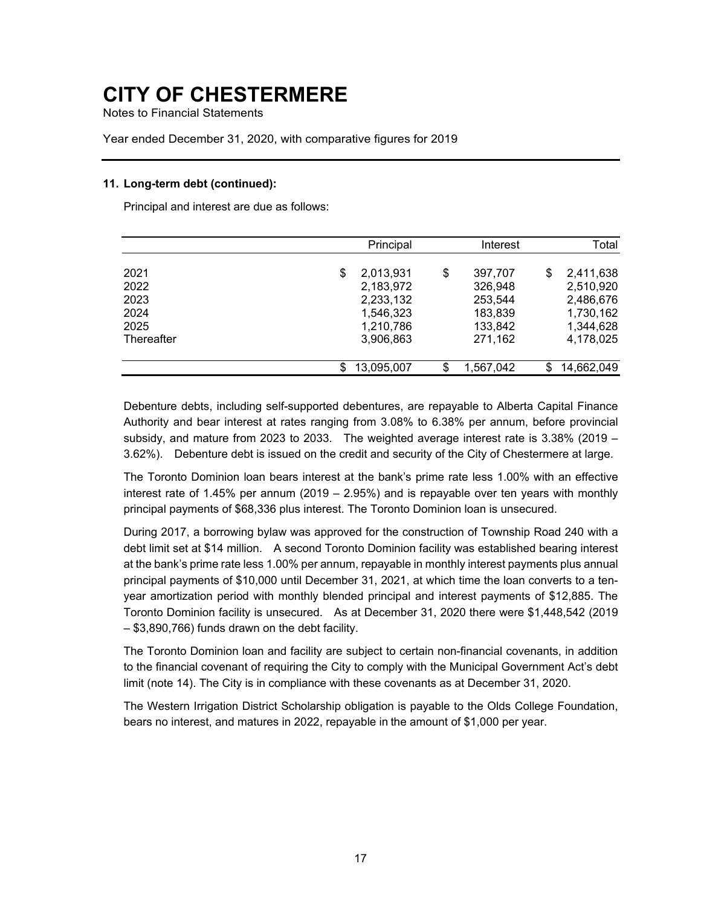Notes to Financial Statements

Year ended December 31, 2020, with comparative figures for 2019

#### **11. Long-term debt (continued):**

Principal and interest are due as follows:

|            | Principal       |    | Interest  |    | Total      |
|------------|-----------------|----|-----------|----|------------|
|            |                 |    |           |    |            |
| 2021       | \$<br>2,013,931 | \$ | 397,707   | \$ | 2,411,638  |
| 2022       | 2,183,972       |    | 326,948   |    | 2,510,920  |
| 2023       | 2,233,132       |    | 253,544   |    | 2,486,676  |
| 2024       | 1,546,323       |    | 183,839   |    | 1,730,162  |
| 2025       | 1,210,786       |    | 133,842   |    | 1,344,628  |
| Thereafter | 3,906,863       |    | 271,162   |    | 4,178,025  |
|            | 13,095,007      | S  | 1,567,042 | S  | 14,662,049 |

Debenture debts, including self-supported debentures, are repayable to Alberta Capital Finance Authority and bear interest at rates ranging from 3.08% to 6.38% per annum, before provincial subsidy, and mature from 2023 to 2033. The weighted average interest rate is 3.38% (2019 – 3.62%). Debenture debt is issued on the credit and security of the City of Chestermere at large.

The Toronto Dominion loan bears interest at the bank's prime rate less 1.00% with an effective interest rate of 1.45% per annum (2019 – 2.95%) and is repayable over ten years with monthly principal payments of \$68,336 plus interest. The Toronto Dominion loan is unsecured.

During 2017, a borrowing bylaw was approved for the construction of Township Road 240 with a debt limit set at \$14 million. A second Toronto Dominion facility was established bearing interest at the bank's prime rate less 1.00% per annum, repayable in monthly interest payments plus annual principal payments of \$10,000 until December 31, 2021, at which time the loan converts to a tenyear amortization period with monthly blended principal and interest payments of \$12,885. The Toronto Dominion facility is unsecured. As at December 31, 2020 there were \$1,448,542 (2019 – \$3,890,766) funds drawn on the debt facility.

The Toronto Dominion loan and facility are subject to certain non-financial covenants, in addition to the financial covenant of requiring the City to comply with the Municipal Government Act's debt limit (note 14). The City is in compliance with these covenants as at December 31, 2020.

The Western Irrigation District Scholarship obligation is payable to the Olds College Foundation, bears no interest, and matures in 2022, repayable in the amount of \$1,000 per year.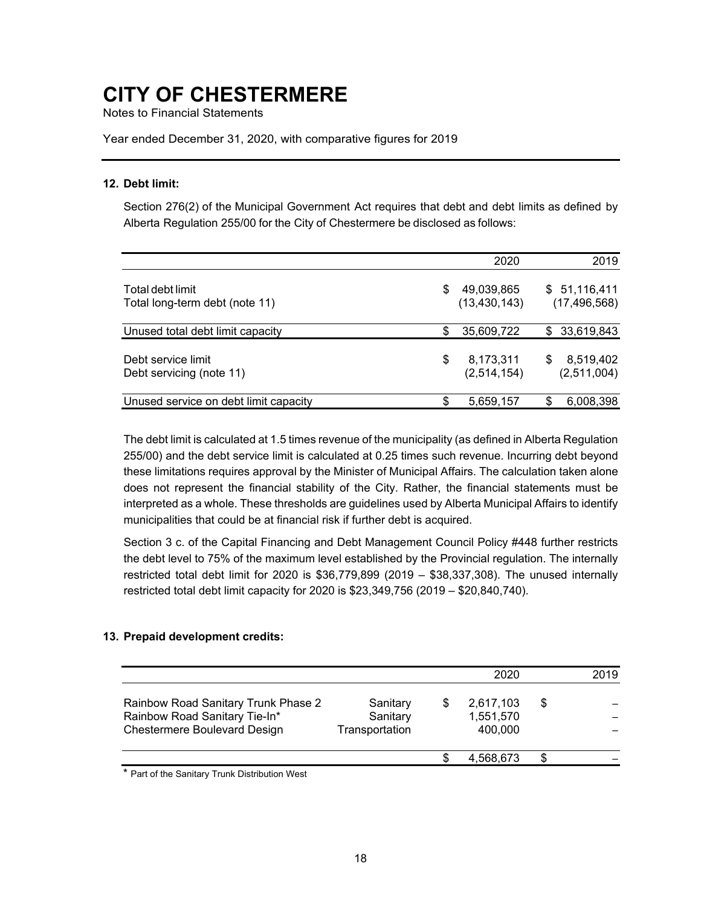Notes to Financial Statements

Year ended December 31, 2020, with comparative figures for 2019

### **12. Debt limit:**

Section 276(2) of the Municipal Government Act requires that debt and debt limits as defined by Alberta Regulation 255/00 for the City of Chestermere be disclosed as follows:

|                                                    |    | 2020                         | 2019                           |
|----------------------------------------------------|----|------------------------------|--------------------------------|
| Total debt limit<br>Total long-term debt (note 11) | S  | 49,039,865<br>(13, 430, 143) | \$51,116,411<br>(17, 496, 568) |
| Unused total debt limit capacity                   | S  | 35,609,722                   | \$33,619,843                   |
| Debt service limit<br>Debt servicing (note 11)     | \$ | 8,173,311<br>(2,514,154)     | 8,519,402<br>S<br>(2,511,004)  |
| Unused service on debt limit capacity              | S  | 5,659,157                    | 6,008,398<br>\$                |

The debt limit is calculated at 1.5 times revenue of the municipality (as defined in Alberta Regulation 255/00) and the debt service limit is calculated at 0.25 times such revenue. Incurring debt beyond these limitations requires approval by the Minister of Municipal Affairs. The calculation taken alone does not represent the financial stability of the City. Rather, the financial statements must be interpreted as a whole. These thresholds are guidelines used by Alberta Municipal Affairs to identify municipalities that could be at financial risk if further debt is acquired.

Section 3 c. of the Capital Financing and Debt Management Council Policy #448 further restricts the debt level to 75% of the maximum level established by the Provincial regulation. The internally restricted total debt limit for 2020 is \$36,779,899 (2019 – \$38,337,308). The unused internally restricted total debt limit capacity for 2020 is \$23,349,756 (2019 – \$20,840,740).

### **13. Prepaid development credits:**

|                                                                      |                            | 2020                 |   | 2019 |
|----------------------------------------------------------------------|----------------------------|----------------------|---|------|
| Rainbow Road Sanitary Trunk Phase 2                                  | Sanitary                   | 2,617,103            | S |      |
| Rainbow Road Sanitary Tie-In*<br><b>Chestermere Boulevard Design</b> | Sanitary<br>Transportation | 1,551,570<br>400,000 |   |      |
|                                                                      |                            | 4.568.673            |   |      |

\* Part of the Sanitary Trunk Distribution West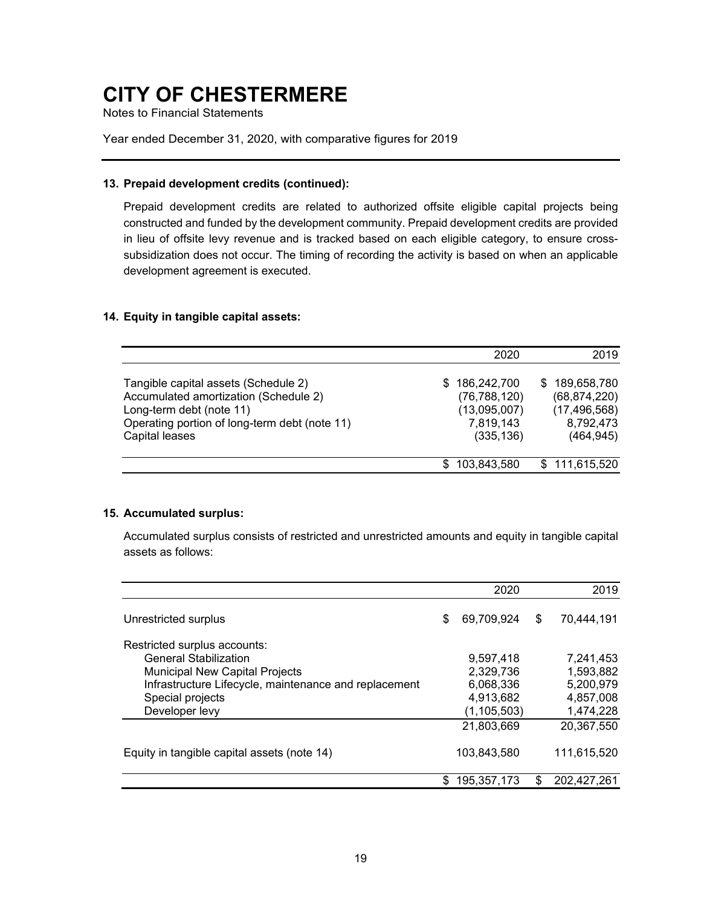Notes to Financial Statements

Year ended December 31, 2020, with comparative figures for 2019

#### **13. Prepaid development credits (continued):**

Prepaid development credits are related to authorized offsite eligible capital projects being constructed and funded by the development community. Prepaid development credits are provided in lieu of offsite levy revenue and is tracked based on each eligible category, to ensure crosssubsidization does not occur. The timing of recording the activity is based on when an applicable development agreement is executed.

#### **14. Equity in tangible capital assets:**

|                                                                                                                                                                              | 2020                                                                          | 2019                                                                         |
|------------------------------------------------------------------------------------------------------------------------------------------------------------------------------|-------------------------------------------------------------------------------|------------------------------------------------------------------------------|
| Tangible capital assets (Schedule 2)<br>Accumulated amortization (Schedule 2)<br>Long-term debt (note 11)<br>Operating portion of long-term debt (note 11)<br>Capital leases | 186,242,700<br>S<br>(76, 788, 120)<br>(13,095,007)<br>7,819,143<br>(335, 136) | \$189,658,780<br>(68, 874, 220)<br>(17, 496, 568)<br>8,792,473<br>(464, 945) |
|                                                                                                                                                                              | 103,843,580                                                                   | \$111,615,520                                                                |

#### **15. Accumulated surplus:**

Accumulated surplus consists of restricted and unrestricted amounts and equity in tangible capital assets as follows:

|                                                       | 2020             |    | 2019        |
|-------------------------------------------------------|------------------|----|-------------|
| Unrestricted surplus                                  | \$<br>69,709,924 | \$ | 70,444,191  |
| Restricted surplus accounts:                          |                  |    |             |
| <b>General Stabilization</b>                          | 9,597,418        |    | 7,241,453   |
| <b>Municipal New Capital Projects</b>                 | 2,329,736        |    | 1,593,882   |
| Infrastructure Lifecycle, maintenance and replacement | 6,068,336        |    | 5,200,979   |
| Special projects                                      | 4,913,682        |    | 4,857,008   |
| Developer levy                                        | (1, 105, 503)    |    | 1,474,228   |
|                                                       | 21,803,669       |    | 20,367,550  |
| Equity in tangible capital assets (note 14)           | 103,843,580      |    | 111,615,520 |
|                                                       | 195, 357, 173    | S  | 202,427,261 |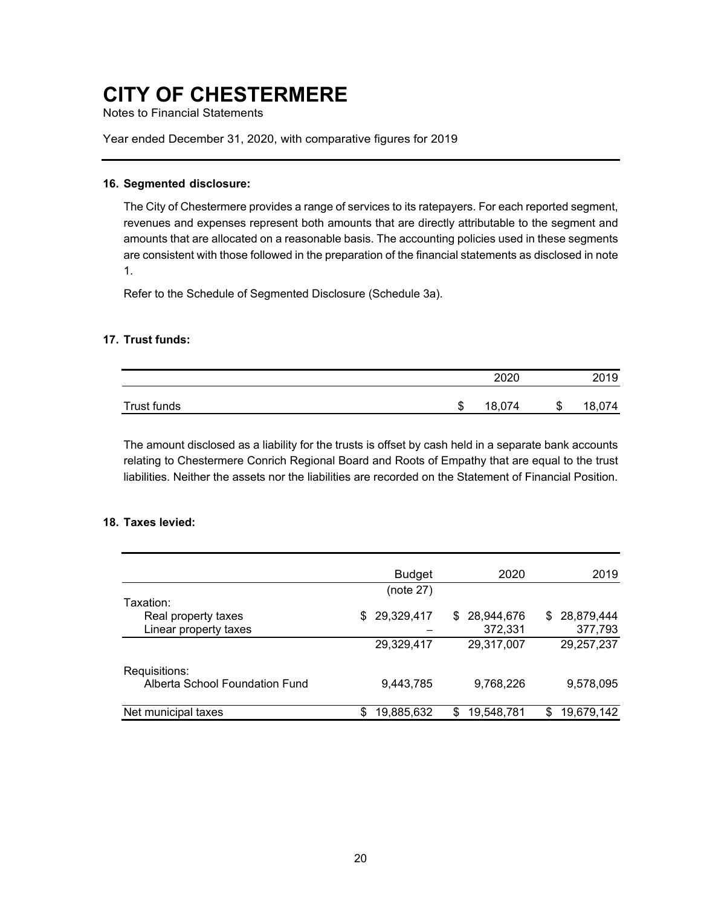Notes to Financial Statements

Year ended December 31, 2020, with comparative figures for 2019

#### **16. Segmented disclosure:**

The City of Chestermere provides a range of services to its ratepayers. For each reported segment, revenues and expenses represent both amounts that are directly attributable to the segment and amounts that are allocated on a reasonable basis. The accounting policies used in these segments are consistent with those followed in the preparation of the financial statements as disclosed in note 1.

Refer to the Schedule of Segmented Disclosure (Schedule 3a).

### **17. Trust funds:**

|             |        | 2020   |   | 2019 |
|-------------|--------|--------|---|------|
| Trust funds | ጦ<br>ง | 18,074 | w |      |

The amount disclosed as a liability for the trusts is offset by cash held in a separate bank accounts relating to Chestermere Conrich Regional Board and Roots of Empathy that are equal to the trust liabilities. Neither the assets nor the liabilities are recorded on the Statement of Financial Position.

#### **18. Taxes levied:**

|                                | <b>Budget</b>    | 2020              | 2019              |
|--------------------------------|------------------|-------------------|-------------------|
|                                | (note 27)        |                   |                   |
| Taxation:                      |                  |                   |                   |
| Real property taxes            | 29,329,417<br>\$ | 28,944,676<br>\$. | 28,879,444<br>SS. |
| Linear property taxes          |                  | 372,331           | 377,793           |
|                                | 29,329,417       | 29,317,007        | 29,257,237        |
| Requisitions:                  |                  |                   |                   |
| Alberta School Foundation Fund | 9,443,785        | 9,768,226         | 9,578,095         |
| Net municipal taxes            | \$<br>19,885,632 | 19,548,781<br>S   | 19,679,142<br>\$  |
|                                |                  |                   |                   |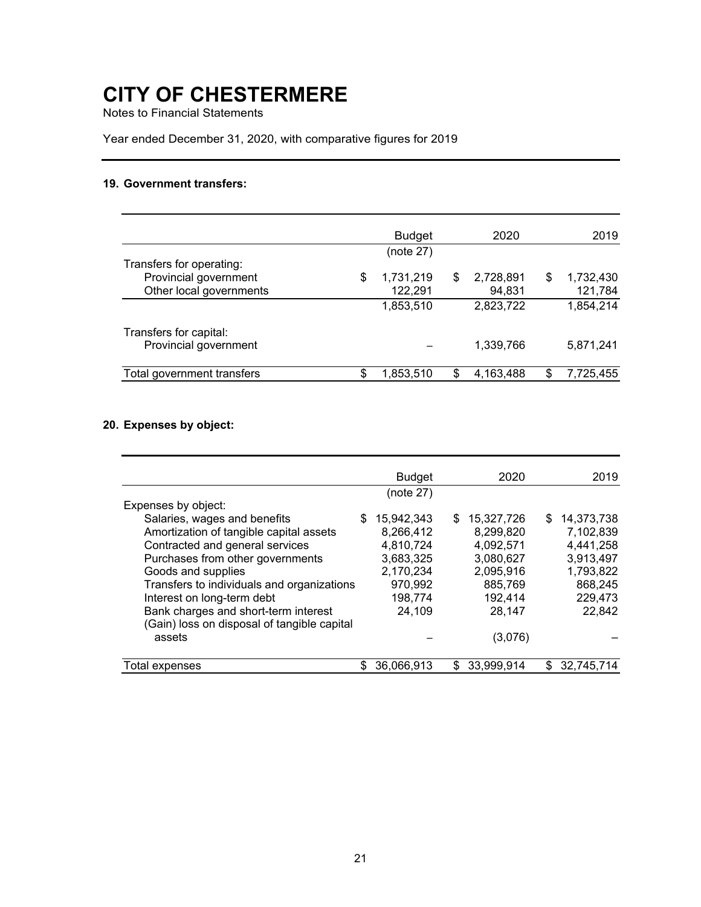Notes to Financial Statements

Year ended December 31, 2020, with comparative figures for 2019

### **19. Government transfers:**

|                                                  | <b>Budget</b>              |    | 2020                | 2019                       |
|--------------------------------------------------|----------------------------|----|---------------------|----------------------------|
|                                                  | (note 27)                  |    |                     |                            |
| Transfers for operating:                         |                            |    |                     |                            |
| Provincial government<br>Other local governments | \$<br>1,731,219<br>122,291 | S  | 2,728,891<br>94,831 | \$<br>1,732,430<br>121,784 |
|                                                  | 1,853,510                  |    | 2,823,722           | 1,854,214                  |
| Transfers for capital:<br>Provincial government  |                            |    | 1,339,766           | 5,871,241                  |
| Total government transfers                       | \$<br>1,853,510            | \$ | 4,163,488           | \$<br>7,725,455            |

### **20. Expenses by object:**

|                                             | <b>Budget</b>    |     | 2020       |     | 2019       |
|---------------------------------------------|------------------|-----|------------|-----|------------|
|                                             | (note 27)        |     |            |     |            |
| Expenses by object:                         |                  |     |            |     |            |
| Salaries, wages and benefits                | \$<br>15,942,343 | \$. | 15,327,726 | \$. | 14,373,738 |
| Amortization of tangible capital assets     | 8.266.412        |     | 8.299.820  |     | 7,102,839  |
| Contracted and general services             | 4,810,724        |     | 4,092,571  |     | 4,441,258  |
| Purchases from other governments            | 3,683,325        |     | 3,080,627  |     | 3,913,497  |
| Goods and supplies                          | 2,170,234        |     | 2,095,916  |     | 1,793,822  |
| Transfers to individuals and organizations  | 970,992          |     | 885,769    |     | 868,245    |
| Interest on long-term debt                  | 198,774          |     | 192,414    |     | 229,473    |
| Bank charges and short-term interest        | 24,109           |     | 28,147     |     | 22,842     |
| (Gain) loss on disposal of tangible capital |                  |     |            |     |            |
| assets                                      |                  |     | (3,076)    |     |            |
| Total expenses                              | 36,066,913       | S   | 33,999,914 | \$. | 32,745,714 |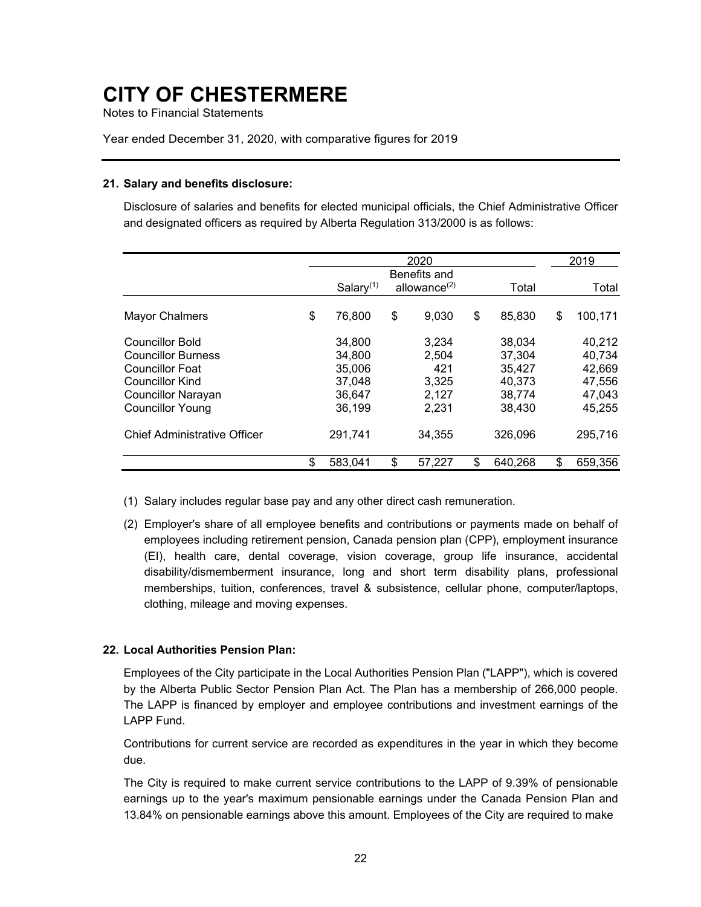Notes to Financial Statements

Year ended December 31, 2020, with comparative figures for 2019

#### **21. Salary and benefits disclosure:**

Disclosure of salaries and benefits for elected municipal officials, the Chief Administrative Officer and designated officers as required by Alberta Regulation 313/2000 is as follows:

|                                     |                       | 2019            |    |         |               |
|-------------------------------------|-----------------------|-----------------|----|---------|---------------|
|                                     |                       |                 |    |         |               |
|                                     | Salarv <sup>(1)</sup> | allowance $(2)$ |    | Total   | Total         |
| Mayor Chalmers                      | \$<br>76,800          | \$<br>9.030     | \$ | 85,830  | \$<br>100,171 |
| <b>Councillor Bold</b>              | 34.800                | 3.234           |    | 38.034  | 40,212        |
| <b>Councillor Burness</b>           | 34,800                | 2,504           |    | 37,304  | 40,734        |
| <b>Councillor Foat</b>              | 35,006                | 421             |    | 35.427  | 42,669        |
| <b>Councillor Kind</b>              | 37,048                | 3,325           |    | 40,373  | 47,556        |
| <b>Councillor Narayan</b>           | 36,647                | 2,127           |    | 38.774  | 47,043        |
| <b>Councillor Young</b>             | 36,199                | 2,231           |    | 38,430  | 45,255        |
| <b>Chief Administrative Officer</b> | 291,741               | 34,355          |    | 326,096 | 295,716       |
|                                     | \$<br>583,041         | \$<br>57.227    | S  | 640,268 | \$<br>659,356 |

(1) Salary includes regular base pay and any other direct cash remuneration.

(2) Employer's share of all employee benefits and contributions or payments made on behalf of employees including retirement pension, Canada pension plan (CPP), employment insurance (EI), health care, dental coverage, vision coverage, group life insurance, accidental disability/dismemberment insurance, long and short term disability plans, professional memberships, tuition, conferences, travel & subsistence, cellular phone, computer/laptops, clothing, mileage and moving expenses.

### **22. Local Authorities Pension Plan:**

Employees of the City participate in the Local Authorities Pension Plan ("LAPP"), which is covered by the Alberta Public Sector Pension Plan Act. The Plan has a membership of 266,000 people. The LAPP is financed by employer and employee contributions and investment earnings of the LAPP Fund.

Contributions for current service are recorded as expenditures in the year in which they become due.

The City is required to make current service contributions to the LAPP of 9.39% of pensionable earnings up to the year's maximum pensionable earnings under the Canada Pension Plan and 13.84% on pensionable earnings above this amount. Employees of the City are required to make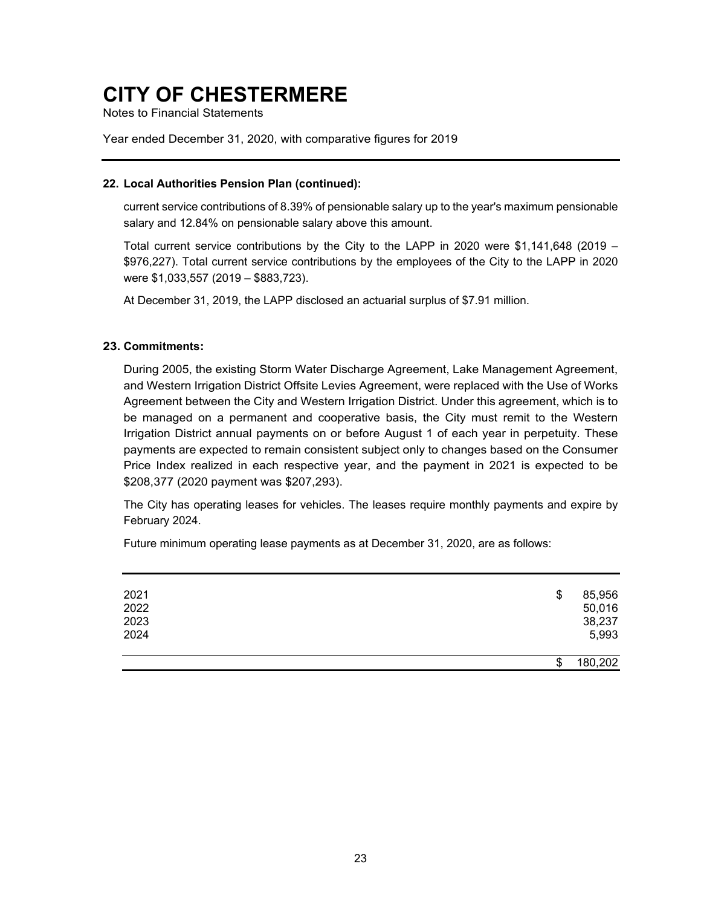Notes to Financial Statements

Year ended December 31, 2020, with comparative figures for 2019

#### **22. Local Authorities Pension Plan (continued):**

current service contributions of 8.39% of pensionable salary up to the year's maximum pensionable salary and 12.84% on pensionable salary above this amount.

Total current service contributions by the City to the LAPP in 2020 were \$1,141,648 (2019 – \$976,227). Total current service contributions by the employees of the City to the LAPP in 2020 were \$1,033,557 (2019 – \$883,723).

At December 31, 2019, the LAPP disclosed an actuarial surplus of \$7.91 million.

### **23. Commitments:**

During 2005, the existing Storm Water Discharge Agreement, Lake Management Agreement, and Western Irrigation District Offsite Levies Agreement, were replaced with the Use of Works Agreement between the City and Western Irrigation District. Under this agreement, which is to be managed on a permanent and cooperative basis, the City must remit to the Western Irrigation District annual payments on or before August 1 of each year in perpetuity. These payments are expected to remain consistent subject only to changes based on the Consumer Price Index realized in each respective year, and the payment in 2021 is expected to be \$208,377 (2020 payment was \$207,293).

The City has operating leases for vehicles. The leases require monthly payments and expire by February 2024.

Future minimum operating lease payments as at December 31, 2020, are as follows:

| 2021<br>2022<br>2023<br>2024 | \$<br>85,956<br>50,016<br>38,237<br>5,993 |
|------------------------------|-------------------------------------------|
|                              |                                           |
|                              | \$<br>180,202                             |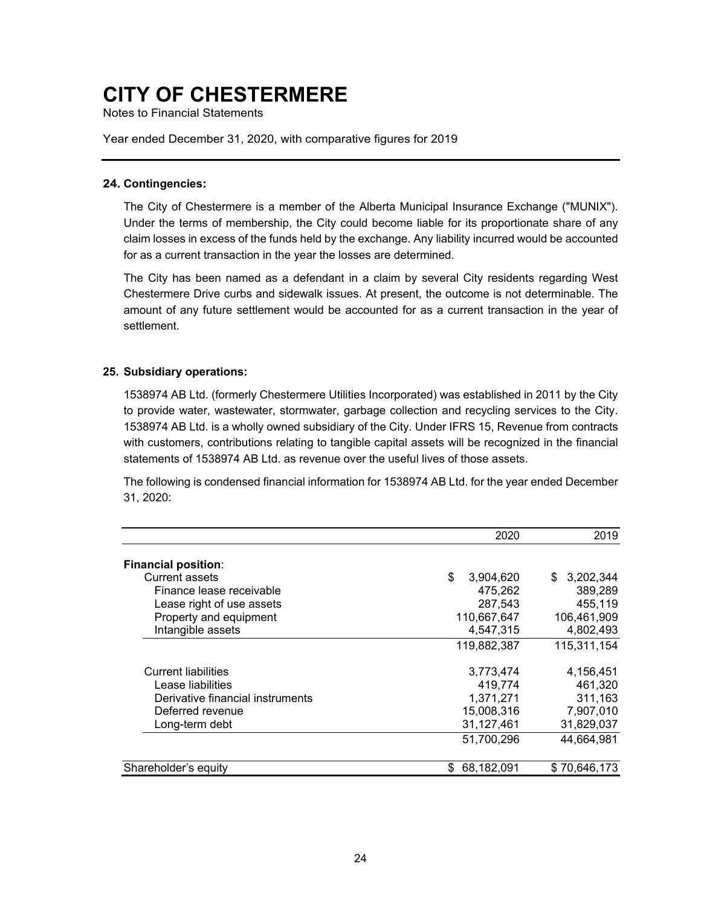Notes to Financial Statements

Year ended December 31, 2020, with comparative figures for 2019

#### **24. Contingencies:**

The City of Chestermere is a member of the Alberta Municipal Insurance Exchange ("MUNIX"). Under the terms of membership, the City could become liable for its proportionate share of any claim losses in excess of the funds held by the exchange. Any liability incurred would be accounted for as a current transaction in the year the losses are determined.

The City has been named as a defendant in a claim by several City residents regarding West Chestermere Drive curbs and sidewalk issues. At present, the outcome is not determinable. The amount of any future settlement would be accounted for as a current transaction in the year of settlement.

### **25. Subsidiary operations:**

1538974 AB Ltd. (formerly Chestermere Utilities Incorporated) was established in 2011 by the City to provide water, wastewater, stormwater, garbage collection and recycling services to the City. 1538974 AB Ltd. is a wholly owned subsidiary of the City. Under IFRS 15, Revenue from contracts with customers, contributions relating to tangible capital assets will be recognized in the financial statements of 1538974 AB Ltd. as revenue over the useful lives of those assets.

The following is condensed financial information for 1538974 AB Ltd. for the year ended December 31, 2020:

|                                  | 2020              | 2019            |
|----------------------------------|-------------------|-----------------|
| <b>Financial position:</b>       |                   |                 |
| Current assets                   | \$<br>3,904,620   | 3,202,344<br>\$ |
| Finance lease receivable         | 475,262           | 389,289         |
| Lease right of use assets        | 287,543           | 455,119         |
| Property and equipment           | 110,667,647       | 106,461,909     |
| Intangible assets                | 4,547,315         | 4,802,493       |
|                                  | 119,882,387       | 115,311,154     |
| <b>Current liabilities</b>       | 3,773,474         | 4,156,451       |
| Lease liabilities                | 419,774           | 461,320         |
| Derivative financial instruments | 1,371,271         | 311,163         |
| Deferred revenue                 | 15,008,316        | 7,907,010       |
| Long-term debt                   | 31,127,461        | 31,829,037      |
|                                  | 51,700,296        | 44,664,981      |
| Shareholder's equity             | 68,182,091<br>\$. | \$70,646,173    |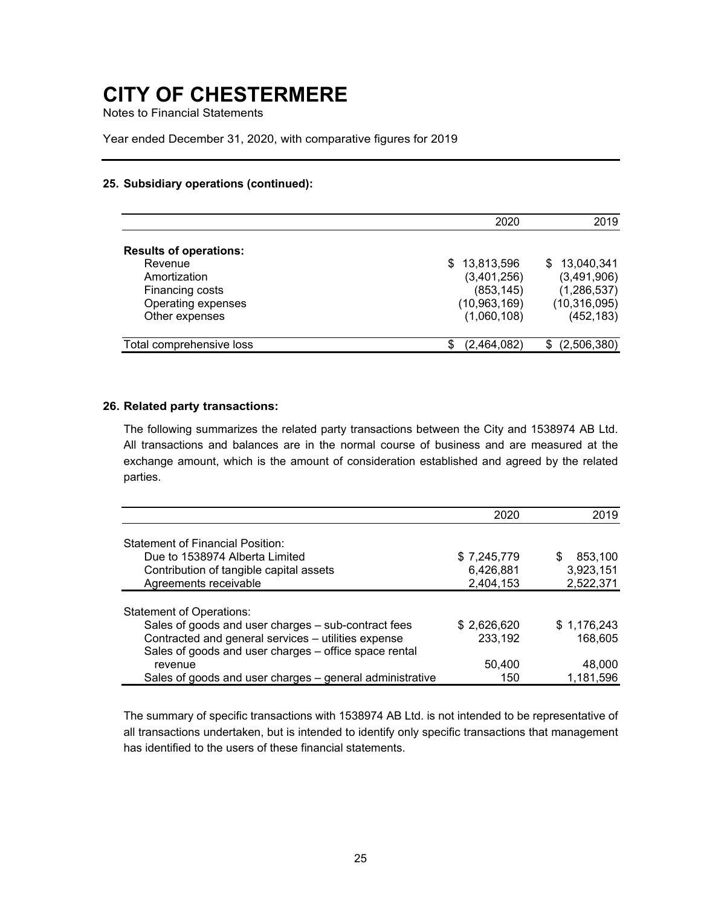Notes to Financial Statements

Year ended December 31, 2020, with comparative figures for 2019

### **25. Subsidiary operations (continued):**

| 2020           | 2019                                                     |
|----------------|----------------------------------------------------------|
|                |                                                          |
|                | 13,040,341<br>S.                                         |
|                | (3,491,906)                                              |
|                | (1, 286, 537)                                            |
| (10, 963, 169) | (10, 316, 095)                                           |
| (1,060,108)    | (452, 183)                                               |
|                | (2,506,380)<br>\$                                        |
|                | \$13,813,596<br>(3,401,256)<br>(853, 145)<br>(2,464,082) |

#### **26. Related party transactions:**

The following summarizes the related party transactions between the City and 1538974 AB Ltd. All transactions and balances are in the normal course of business and are measured at the exchange amount, which is the amount of consideration established and agreed by the related parties.

|                                                          | 2020        | 2019         |
|----------------------------------------------------------|-------------|--------------|
|                                                          |             |              |
| Statement of Financial Position:                         |             |              |
| Due to 1538974 Alberta Limited                           | \$7,245,779 | 853,100<br>S |
| Contribution of tangible capital assets                  | 6,426,881   | 3,923,151    |
| Agreements receivable                                    | 2,404,153   | 2,522,371    |
| <b>Statement of Operations:</b>                          |             |              |
| Sales of goods and user charges - sub-contract fees      | \$2,626,620 | \$1,176,243  |
| Contracted and general services - utilities expense      | 233,192     | 168,605      |
| Sales of goods and user charges – office space rental    |             |              |
| revenue                                                  | 50,400      | 48,000       |
| Sales of goods and user charges – general administrative | 150         | 1.181.596    |

The summary of specific transactions with 1538974 AB Ltd. is not intended to be representative of all transactions undertaken, but is intended to identify only specific transactions that management has identified to the users of these financial statements.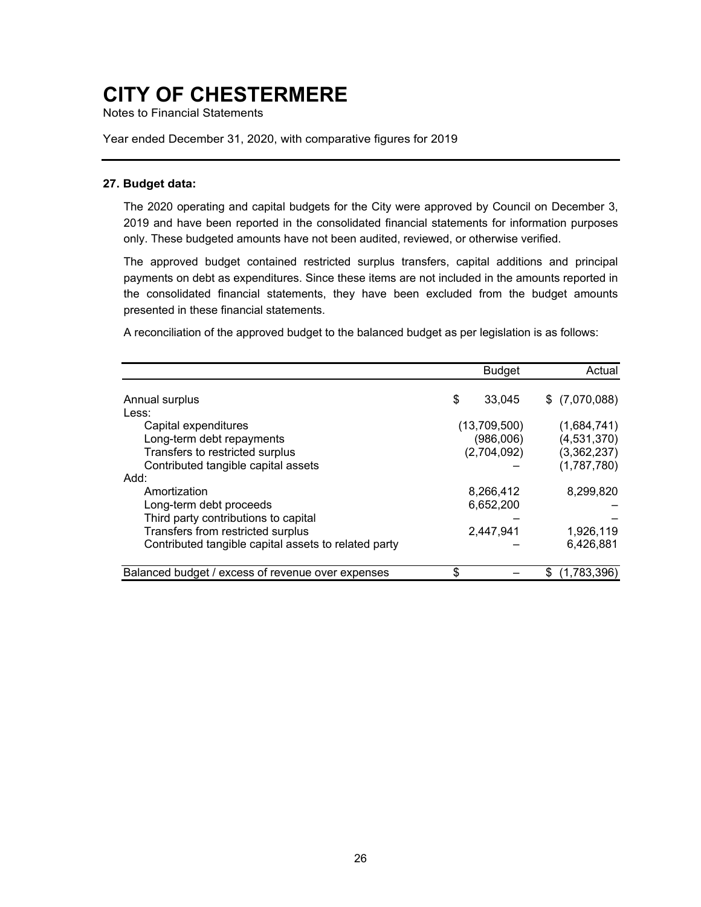Notes to Financial Statements

Year ended December 31, 2020, with comparative figures for 2019

#### **27. Budget data:**

The 2020 operating and capital budgets for the City were approved by Council on December 3, 2019 and have been reported in the consolidated financial statements for information purposes only. These budgeted amounts have not been audited, reviewed, or otherwise verified.

The approved budget contained restricted surplus transfers, capital additions and principal payments on debt as expenditures. Since these items are not included in the amounts reported in the consolidated financial statements, they have been excluded from the budget amounts presented in these financial statements.

A reconciliation of the approved budget to the balanced budget as per legislation is as follows:

|                                                      | <b>Budget</b> | Actual           |
|------------------------------------------------------|---------------|------------------|
| Annual surplus                                       | \$<br>33.045  | \$ (7,070,088)   |
| Less:                                                |               |                  |
| Capital expenditures                                 | (13,709,500)  | (1,684,741)      |
| Long-term debt repayments                            | (986,006)     | (4,531,370)      |
| Transfers to restricted surplus                      | (2,704,092)   | (3,362,237)      |
| Contributed tangible capital assets                  |               | (1,787,780)      |
| Add:                                                 |               |                  |
| Amortization                                         | 8,266,412     | 8,299,820        |
| Long-term debt proceeds                              | 6,652,200     |                  |
| Third party contributions to capital                 |               |                  |
| Transfers from restricted surplus                    | 2,447,941     | 1,926,119        |
| Contributed tangible capital assets to related party |               | 6,426,881        |
| Balanced budget / excess of revenue over expenses    | \$            | (1,783,396)<br>S |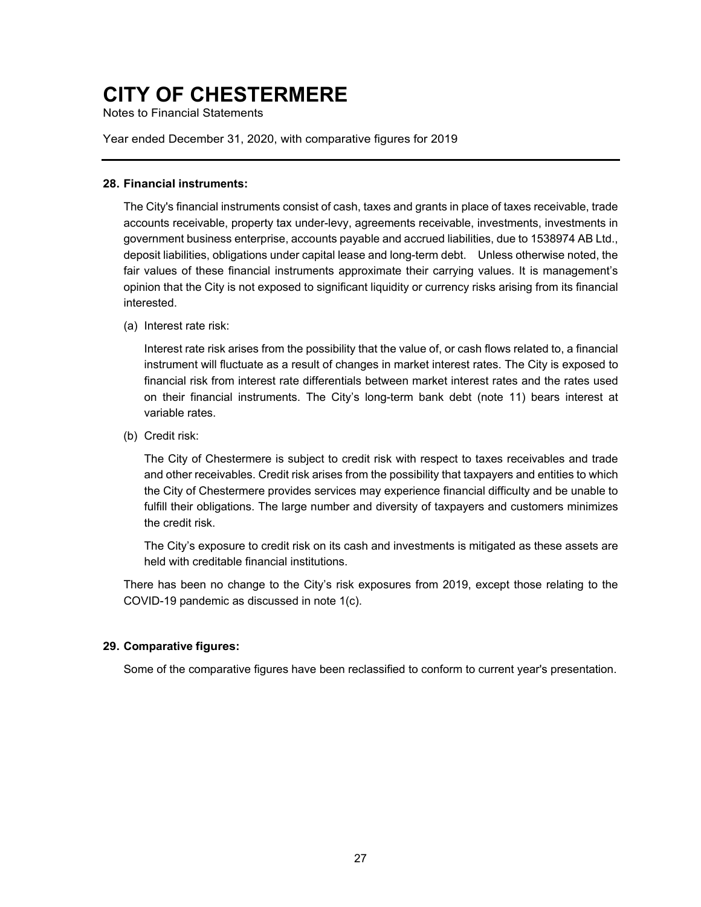Notes to Financial Statements

Year ended December 31, 2020, with comparative figures for 2019

### **28. Financial instruments:**

The City's financial instruments consist of cash, taxes and grants in place of taxes receivable, trade accounts receivable, property tax under-levy, agreements receivable, investments, investments in government business enterprise, accounts payable and accrued liabilities, due to 1538974 AB Ltd., deposit liabilities, obligations under capital lease and long-term debt. Unless otherwise noted, the fair values of these financial instruments approximate their carrying values. It is management's opinion that the City is not exposed to significant liquidity or currency risks arising from its financial interested.

(a) Interest rate risk:

Interest rate risk arises from the possibility that the value of, or cash flows related to, a financial instrument will fluctuate as a result of changes in market interest rates. The City is exposed to financial risk from interest rate differentials between market interest rates and the rates used on their financial instruments. The City's long-term bank debt (note 11) bears interest at variable rates.

(b) Credit risk:

The City of Chestermere is subject to credit risk with respect to taxes receivables and trade and other receivables. Credit risk arises from the possibility that taxpayers and entities to which the City of Chestermere provides services may experience financial difficulty and be unable to fulfill their obligations. The large number and diversity of taxpayers and customers minimizes the credit risk.

The City's exposure to credit risk on its cash and investments is mitigated as these assets are held with creditable financial institutions.

There has been no change to the City's risk exposures from 2019, except those relating to the COVID-19 pandemic as discussed in note 1(c).

### **29. Comparative figures:**

Some of the comparative figures have been reclassified to conform to current year's presentation.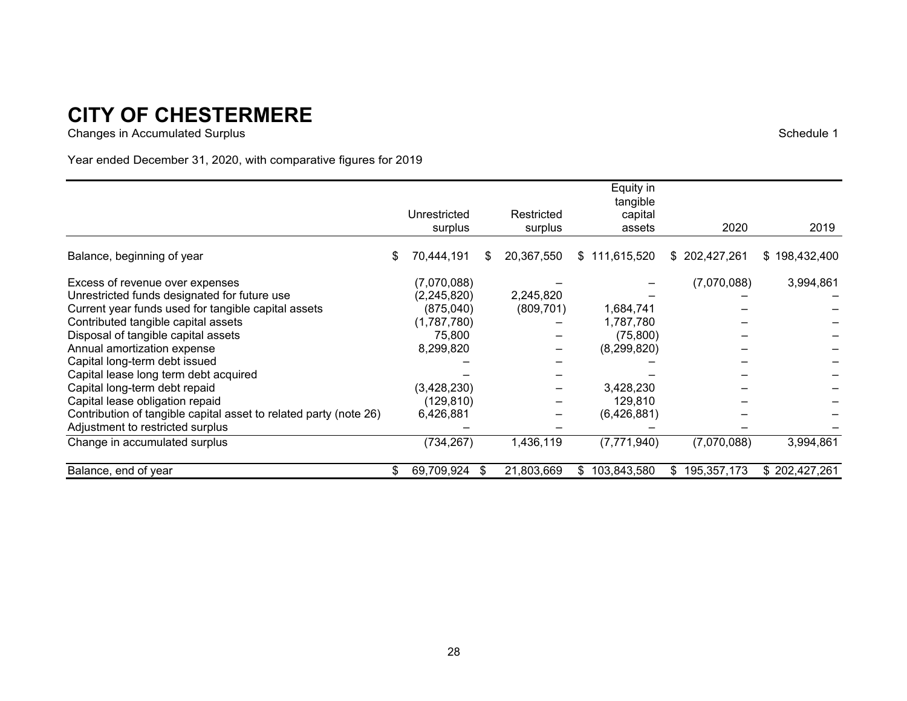Changes in Accumulated Surplus **Schedule 1** and the set of the set of the set of the set of the set of the set of the set of the set of the set of the set of the set of the set of the set of the set of the set of the set o

Year ended December 31, 2020, with comparative figures for 2019

|                                                                   |                  |     |            |   | Equity in<br>tangible |                   |               |
|-------------------------------------------------------------------|------------------|-----|------------|---|-----------------------|-------------------|---------------|
|                                                                   | Unrestricted     |     | Restricted |   | capital               |                   |               |
|                                                                   | surplus          |     | surplus    |   | assets                | 2020              | 2019          |
| Balance, beginning of year                                        | \$<br>70,444,191 | \$. | 20,367,550 |   | \$111,615,520         | \$202,427,261     | \$198,432,400 |
| Excess of revenue over expenses                                   | (7,070,088)      |     |            |   |                       | (7,070,088)       | 3,994,861     |
| Unrestricted funds designated for future use                      | (2, 245, 820)    |     | 2,245,820  |   |                       |                   |               |
| Current year funds used for tangible capital assets               | (875, 040)       |     | (809, 701) |   | 1,684,741             |                   |               |
| Contributed tangible capital assets                               | (1,787,780)      |     |            |   | 1,787,780             |                   |               |
| Disposal of tangible capital assets                               | 75,800           |     |            |   | (75,800)              |                   |               |
| Annual amortization expense                                       | 8,299,820        |     |            |   | (8, 299, 820)         |                   |               |
| Capital long-term debt issued                                     |                  |     |            |   |                       |                   |               |
| Capital lease long term debt acquired                             |                  |     |            |   |                       |                   |               |
| Capital long-term debt repaid                                     | (3,428,230)      |     |            |   | 3,428,230             |                   |               |
| Capital lease obligation repaid                                   | (129, 810)       |     |            |   | 129,810               |                   |               |
| Contribution of tangible capital asset to related party (note 26) | 6,426,881        |     |            |   | (6,426,881)           |                   |               |
| Adjustment to restricted surplus                                  |                  |     |            |   |                       |                   |               |
| Change in accumulated surplus                                     | (734, 267)       |     | 1,436,119  |   | (7, 771, 940)         | (7,070,088)       | 3,994,861     |
| Balance, end of year                                              | 69,709,924       | S.  | 21,803,669 | S | 103,843,580           | 195,357,173<br>S. | \$202,427,261 |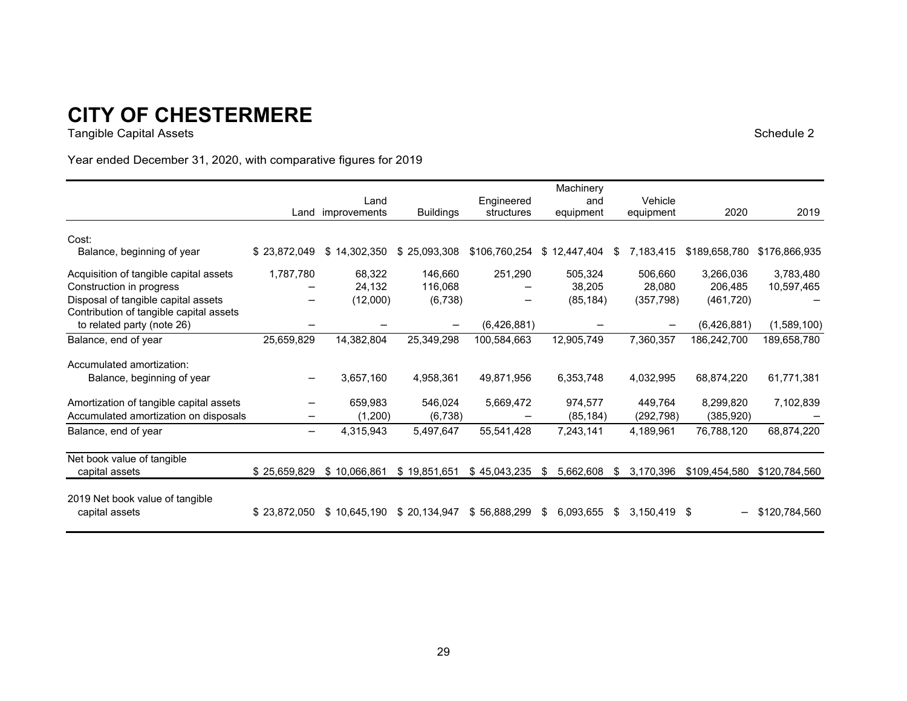Tangible Capital Assets **Schedule 2** and the Capital Assets Schedule 2

Year ended December 31, 2020, with comparative figures for 2019

|                                                   |                              |              |                  |               | Machinery       |                 |               |               |
|---------------------------------------------------|------------------------------|--------------|------------------|---------------|-----------------|-----------------|---------------|---------------|
|                                                   |                              | Land         |                  | Engineered    | and             | Vehicle         |               |               |
|                                                   | Land                         | improvements | <b>Buildings</b> | structures    | equipment       | equipment       | 2020          | 2019          |
| Cost:                                             |                              |              |                  |               |                 |                 |               |               |
| Balance, beginning of year                        | \$23,872,049                 | \$14,302,350 | \$25,093,308     | \$106,760,254 | \$12,447,404    | \$<br>7,183,415 | \$189,658,780 | \$176,866,935 |
| Acquisition of tangible capital assets            | 1,787,780                    | 68,322       | 146,660          | 251,290       | 505,324         | 506,660         | 3,266,036     | 3,783,480     |
| Construction in progress                          |                              | 24,132       | 116,068          |               | 38,205          | 28,080          | 206.485       | 10,597,465    |
| Disposal of tangible capital assets               |                              | (12,000)     | (6,738)          |               | (85, 184)       | (357, 798)      | (461, 720)    |               |
| Contribution of tangible capital assets           |                              |              |                  |               |                 |                 |               |               |
| to related party (note 26)                        |                              |              |                  | (6,426,881)   |                 |                 | (6,426,881)   | (1,589,100)   |
| Balance, end of year                              | 25,659,829                   | 14,382,804   | 25,349,298       | 100,584,663   | 12,905,749      | 7,360,357       | 186,242,700   | 189,658,780   |
| Accumulated amortization:                         |                              |              |                  |               |                 |                 |               |               |
| Balance, beginning of year                        |                              | 3,657,160    | 4,958,361        | 49,871,956    | 6,353,748       | 4,032,995       | 68,874,220    | 61,771,381    |
| Amortization of tangible capital assets           |                              | 659,983      | 546,024          | 5,669,472     | 974,577         | 449,764         | 8,299,820     | 7,102,839     |
| Accumulated amortization on disposals             |                              | (1,200)      | (6, 738)         |               | (85, 184)       | (292,798)       | (385, 920)    |               |
| Balance, end of year                              | $\qquad \qquad \blacksquare$ | 4,315,943    | 5,497,647        | 55,541,428    | 7,243,141       | 4,189,961       | 76,788,120    | 68,874,220    |
| Net book value of tangible                        |                              |              |                  |               |                 |                 |               |               |
| capital assets                                    | \$25,659,829                 | \$10.066.861 | \$19.851.651     | \$45,043,235  | \$<br>5.662.608 | \$<br>3.170.396 | \$109,454,580 | \$120.784.560 |
|                                                   |                              |              |                  |               |                 |                 |               |               |
| 2019 Net book value of tangible<br>capital assets | \$23,872,050                 | \$10,645,190 | \$20,134,947     | \$56,888,299  | 6,093,655<br>\$ | \$<br>3,150,419 | \$.           | \$120,784,560 |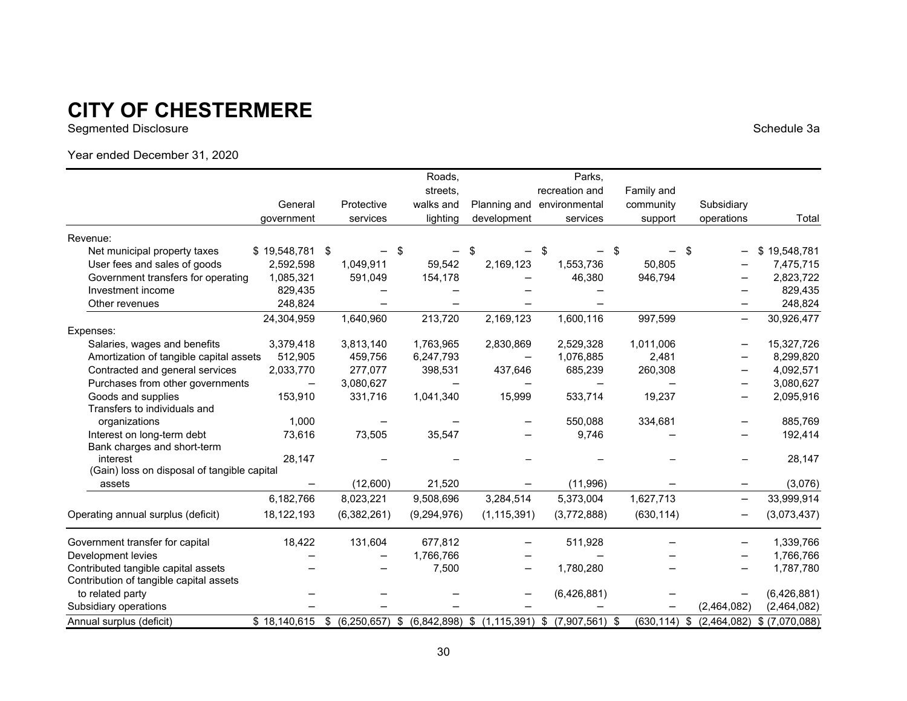Segmented Disclosure Schedule 3a

Year ended December 31, 2020

|                                             |                  |                | Roads,                          |               | Parks,                            |                 |             |                 |
|---------------------------------------------|------------------|----------------|---------------------------------|---------------|-----------------------------------|-----------------|-------------|-----------------|
|                                             |                  |                | streets,                        |               | recreation and                    | Family and      |             |                 |
|                                             | General          | Protective     | walks and                       | Planning and  | environmental                     | community       | Subsidiary  |                 |
|                                             | government       | services       | lighting                        | development   | services                          | support         | operations  | Total           |
| Revenue:                                    |                  |                |                                 |               |                                   |                 |             |                 |
| Net municipal property taxes                | $$19,548,781$ \$ |                | \$                              | \$            | S                                 | \$              | \$          | \$19,548,781    |
| User fees and sales of goods                | 2,592,598        | 1,049,911      | 59,542                          | 2,169,123     | 1,553,736                         | 50,805          |             | 7,475,715       |
| Government transfers for operating          | 1,085,321        | 591,049        | 154,178                         |               | 46,380                            | 946,794         |             | 2,823,722       |
| Investment income                           | 829,435          |                |                                 |               |                                   |                 |             | 829,435         |
| Other revenues                              | 248,824          |                |                                 |               |                                   |                 |             | 248,824         |
|                                             | 24,304,959       | 1,640,960      | 213,720                         | 2,169,123     | 1,600,116                         | 997,599         | $\equiv$    | 30,926,477      |
| Expenses:                                   |                  |                |                                 |               |                                   |                 |             |                 |
| Salaries, wages and benefits                | 3,379,418        | 3,813,140      | 1,763,965                       | 2,830,869     | 2,529,328                         | 1,011,006       |             | 15,327,726      |
| Amortization of tangible capital assets     | 512,905          | 459,756        | 6,247,793                       |               | 1,076,885                         | 2,481           |             | 8,299,820       |
| Contracted and general services             | 2,033,770        | 277,077        | 398,531                         | 437,646       | 685,239                           | 260,308         |             | 4,092,571       |
| Purchases from other governments            |                  | 3,080,627      |                                 |               |                                   |                 |             | 3,080,627       |
| Goods and supplies                          | 153,910          | 331,716        | 1,041,340                       | 15,999        | 533,714                           | 19,237          |             | 2,095,916       |
| Transfers to individuals and                |                  |                |                                 |               |                                   |                 |             |                 |
| organizations                               | 1,000            |                |                                 |               | 550,088                           | 334,681         |             | 885,769         |
| Interest on long-term debt                  | 73,616           | 73,505         | 35,547                          |               | 9,746                             |                 |             | 192,414         |
| Bank charges and short-term                 |                  |                |                                 |               |                                   |                 |             |                 |
| interest                                    | 28,147           |                |                                 |               |                                   |                 |             | 28,147          |
| (Gain) loss on disposal of tangible capital |                  |                |                                 |               |                                   |                 |             |                 |
| assets                                      |                  | (12,600)       | 21,520                          |               | (11,996)                          |                 |             | (3,076)         |
|                                             | 6,182,766        | 8,023,221      | 9,508,696                       | 3,284,514     | 5,373,004                         | 1,627,713       | $\equiv$    | 33,999,914      |
| Operating annual surplus (deficit)          | 18,122,193       | (6,382,261)    | (9,294,976)                     | (1, 115, 391) | (3,772,888)                       | (630, 114)      |             | (3,073,437)     |
| Government transfer for capital             | 18,422           | 131,604        | 677,812                         |               | 511,928                           |                 |             | 1,339,766       |
| Development levies                          |                  |                | 1,766,766                       |               |                                   |                 |             | 1,766,766       |
| Contributed tangible capital assets         |                  |                | 7,500                           |               | 1,780,280                         |                 |             | 1,787,780       |
| Contribution of tangible capital assets     |                  |                |                                 |               |                                   |                 |             |                 |
| to related party                            |                  |                |                                 |               | (6,426,881)                       |                 |             | (6,426,881)     |
| Subsidiary operations                       |                  |                |                                 |               |                                   |                 | (2,464,082) | (2,464,082)     |
| Annual surplus (deficit)                    | \$18,140,615     | \$ (6,250,657) | $$$ (6,842,898) $$$ (1,115,391) |               | $\sqrt[6]{2}$<br>$(7,907,561)$ \$ | $(630, 114)$ \$ | (2,464,082) | $$$ (7,070,088) |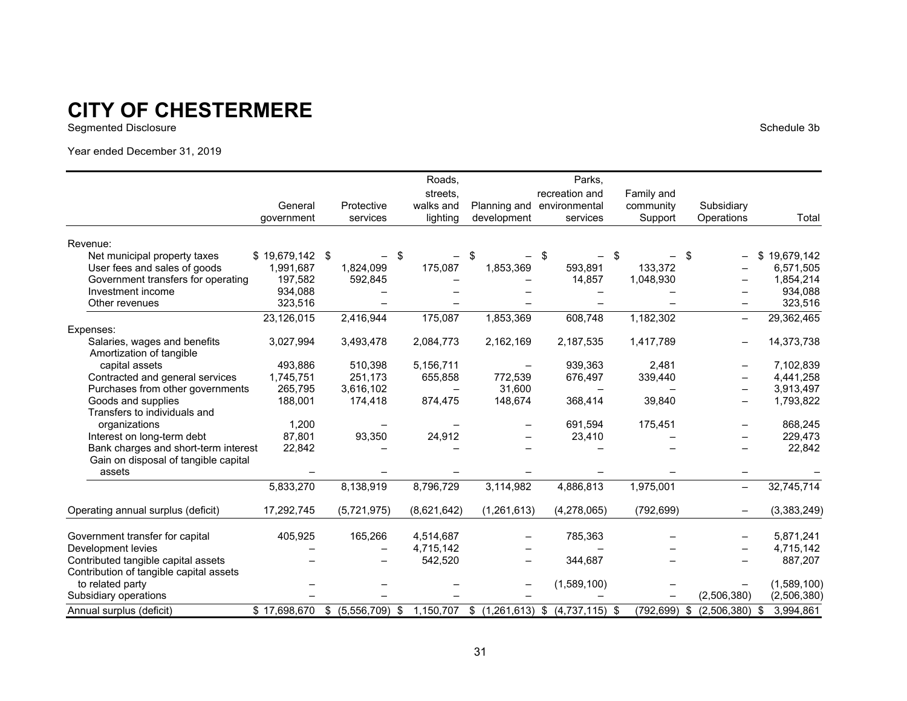Segmented Disclosure Schedule 3b

Year ended December 31, 2019

|                                                          |                  |               |                  | Roads,      |              | Parks,                          |    |            |                   |                 |
|----------------------------------------------------------|------------------|---------------|------------------|-------------|--------------|---------------------------------|----|------------|-------------------|-----------------|
|                                                          |                  |               |                  | streets,    |              | recreation and                  |    | Family and |                   |                 |
|                                                          | General          |               | Protective       | walks and   | Planning and | environmental                   |    | community  | Subsidiary        |                 |
|                                                          | government       |               | services         | lighting    | development  | services                        |    | Support    | Operations        | Total           |
| Revenue:                                                 |                  |               |                  |             |              |                                 |    |            |                   |                 |
| Net municipal property taxes                             | $$19,679,142$ \$ |               | $-$              | \$          | \$           | \$                              | S  |            | \$                | 19,679,142      |
| User fees and sales of goods                             | 1,991,687        |               | 1,824,099        | 175,087     | 1,853,369    | 593,891                         |    | 133,372    |                   | 6,571,505       |
| Government transfers for operating                       | 197,582          |               | 592,845          |             |              | 14,857                          |    | 1,048,930  |                   | 1,854,214       |
| Investment income                                        | 934,088          |               |                  |             |              |                                 |    |            |                   | 934,088         |
| Other revenues                                           | 323,516          |               |                  |             |              |                                 |    |            |                   | 323,516         |
|                                                          | 23,126,015       |               | 2,416,944        | 175,087     | 1,853,369    | 608,748                         |    | 1,182,302  | $-$               | 29,362,465      |
| Expenses:                                                |                  |               |                  |             |              |                                 |    |            |                   |                 |
| Salaries, wages and benefits<br>Amortization of tangible | 3,027,994        |               | 3,493,478        | 2,084,773   | 2,162,169    | 2,187,535                       |    | 1,417,789  |                   | 14,373,738      |
| capital assets                                           | 493,886          |               | 510,398          | 5,156,711   |              | 939,363                         |    | 2,481      |                   | 7,102,839       |
| Contracted and general services                          | 1,745,751        |               | 251,173          | 655,858     | 772,539      | 676,497                         |    | 339,440    |                   | 4,441,258       |
| Purchases from other governments                         | 265,795          |               | 3,616,102        |             | 31,600       |                                 |    |            |                   | 3,913,497       |
| Goods and supplies                                       | 188,001          |               | 174,418          | 874,475     | 148,674      | 368,414                         |    | 39,840     |                   | 1,793,822       |
| Transfers to individuals and                             |                  |               |                  |             |              |                                 |    |            |                   |                 |
| organizations                                            | 1,200            |               |                  |             |              | 691,594                         |    | 175,451    |                   | 868,245         |
| Interest on long-term debt                               | 87,801           |               | 93,350           | 24,912      |              | 23,410                          |    |            |                   | 229,473         |
| Bank charges and short-term interest                     | 22,842           |               |                  |             |              |                                 |    |            |                   | 22,842          |
| Gain on disposal of tangible capital                     |                  |               |                  |             |              |                                 |    |            |                   |                 |
| assets                                                   |                  |               |                  |             |              |                                 |    |            |                   |                 |
|                                                          | 5,833,270        |               | 8,138,919        | 8,796,729   | 3,114,982    | 4,886,813                       |    | 1,975,001  |                   | 32,745,714      |
| Operating annual surplus (deficit)                       | 17,292,745       |               | (5,721,975)      | (8,621,642) | (1,261,613)  | (4,278,065)                     |    | (792, 699) |                   | (3,383,249)     |
| Government transfer for capital                          | 405,925          |               | 165,266          | 4,514,687   |              | 785,363                         |    |            |                   | 5,871,241       |
| Development levies                                       |                  |               |                  | 4,715,142   |              |                                 |    |            |                   | 4,715,142       |
| Contributed tangible capital assets                      |                  |               |                  | 542,520     |              | 344,687                         |    |            |                   | 887,207         |
| Contribution of tangible capital assets                  |                  |               |                  |             |              |                                 |    |            |                   |                 |
| to related party                                         |                  |               |                  |             |              | (1,589,100)                     |    |            |                   | (1,589,100)     |
| Subsidiary operations                                    |                  |               |                  |             |              |                                 |    |            | (2,506,380)       | (2,506,380)     |
| Annual surplus (deficit)                                 | \$17,698,670     | $\sqrt[6]{2}$ | $(5,556,709)$ \$ | 1,150,707   |              | $$$ (1,261,613) $$$ (4,737,115) | \$ | (792, 699) | \$<br>(2,506,380) | \$<br>3,994,861 |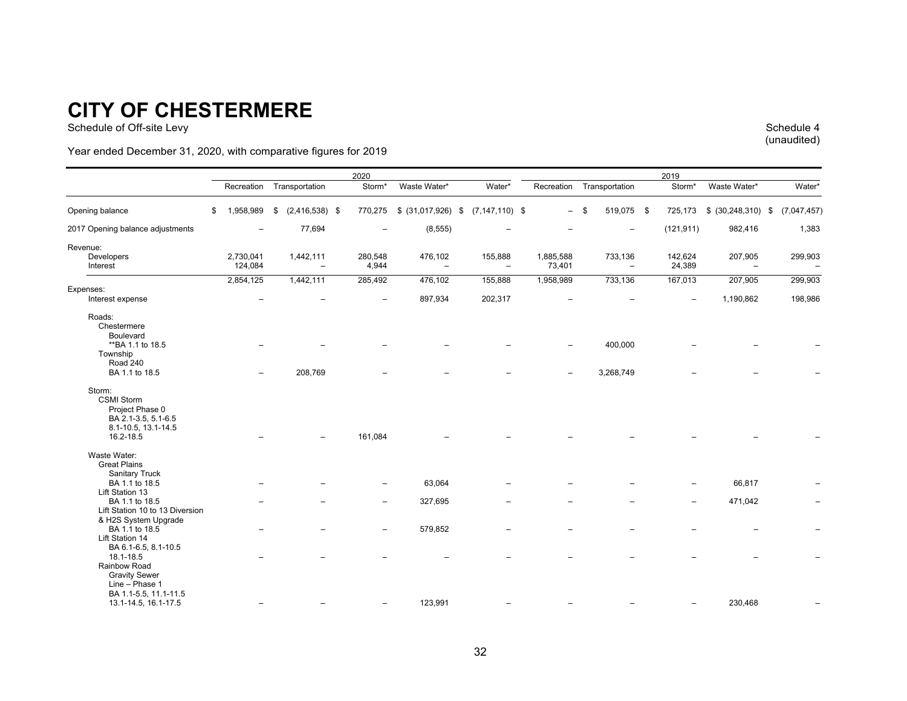Schedule of Off-site Levy Schedule 4

(unaudited)

#### Year ended December 31, 2020, with comparative figures for 2019

|                                                                                                           | 2020                 |                                       |  |                          |                                     |  |                                     | 2019 |                          |                                     |  |                          |                     |      |             |
|-----------------------------------------------------------------------------------------------------------|----------------------|---------------------------------------|--|--------------------------|-------------------------------------|--|-------------------------------------|------|--------------------------|-------------------------------------|--|--------------------------|---------------------|------|-------------|
|                                                                                                           | Recreation           | Transportation                        |  | Storm*                   | Waste Water*                        |  | Water*                              |      | Recreation               | Transportation                      |  | Storm*                   | Waste Water*        |      | Water*      |
| Opening balance                                                                                           | \$<br>1,958,989      | $(2,416,538)$ \$<br>\$                |  | 770,275                  | $$$ (31,017,926) \$                 |  | $(7, 147, 110)$ \$                  |      | $\overline{\phantom{m}}$ | 519,075 \$<br>-\$                   |  | 725,173                  | \$ (30, 248, 310)   | - \$ | (7,047,457) |
| 2017 Opening balance adjustments                                                                          |                      | 77,694                                |  |                          | (8, 555)                            |  |                                     |      | ۰                        | $\overline{a}$                      |  | (121, 911)               | 982,416             |      | 1,383       |
| Revenue:                                                                                                  |                      |                                       |  |                          |                                     |  |                                     |      |                          |                                     |  |                          |                     |      |             |
| Developers<br>Interest                                                                                    | 2,730,041<br>124,084 | 1,442,111<br>$\overline{\phantom{0}}$ |  | 280,548<br>4,944         | 476,102<br>$\overline{\phantom{0}}$ |  | 155,888<br>$\overline{\phantom{0}}$ |      | 1,885,588<br>73,401      | 733,136<br>$\overline{\phantom{m}}$ |  | 142,624<br>24,389        | 207,905<br>$\equiv$ |      | 299,903     |
|                                                                                                           | 2,854,125            | 1,442,111                             |  | 285,492                  | 476,102                             |  | 155,888                             |      | 1,958,989                | 733,136                             |  | 167,013                  | 207,905             |      | 299,903     |
| Expenses:                                                                                                 |                      |                                       |  |                          |                                     |  |                                     |      |                          |                                     |  |                          |                     |      |             |
| Interest expense                                                                                          |                      |                                       |  | $\overline{\phantom{0}}$ | 897,934                             |  | 202,317                             |      |                          |                                     |  | $\overline{\phantom{a}}$ | 1,190,862           |      | 198,986     |
| Roads:<br>Chestermere<br>Boulevard                                                                        |                      |                                       |  |                          |                                     |  |                                     |      |                          |                                     |  |                          |                     |      |             |
| ** BA 1.1 to 18.5                                                                                         |                      |                                       |  |                          |                                     |  |                                     |      |                          | 400,000                             |  |                          |                     |      |             |
| Township                                                                                                  |                      |                                       |  |                          |                                     |  |                                     |      |                          |                                     |  |                          |                     |      |             |
| Road 240                                                                                                  |                      |                                       |  |                          |                                     |  |                                     |      |                          |                                     |  |                          |                     |      |             |
| BA 1.1 to 18.5                                                                                            |                      | 208,769                               |  |                          |                                     |  |                                     |      |                          | 3,268,749                           |  |                          |                     |      |             |
| Storm:<br><b>CSMI Storm</b><br>Project Phase 0<br>BA 2.1-3.5, 5.1-6.5<br>8.1-10.5, 13.1-14.5<br>16.2-18.5 |                      |                                       |  | 161,084                  |                                     |  |                                     |      |                          |                                     |  |                          |                     |      |             |
|                                                                                                           |                      |                                       |  |                          |                                     |  |                                     |      |                          |                                     |  |                          |                     |      |             |
| Waste Water:<br><b>Great Plains</b><br><b>Sanitary Truck</b>                                              |                      |                                       |  |                          |                                     |  |                                     |      |                          |                                     |  |                          |                     |      |             |
| BA 1.1 to 18.5<br>Lift Station 13                                                                         |                      |                                       |  |                          | 63,064                              |  |                                     |      |                          |                                     |  |                          | 66,817              |      |             |
| BA 1.1 to 18.5<br>Lift Station 10 to 13 Diversion<br>& H2S System Upgrade                                 |                      |                                       |  | $\overline{\phantom{a}}$ | 327,695                             |  | $\overline{\phantom{0}}$            |      |                          |                                     |  | $\overline{\phantom{0}}$ | 471,042             |      |             |
| BA 1.1 to 18.5<br>Lift Station 14                                                                         |                      |                                       |  | $\overline{\phantom{0}}$ | 579,852                             |  |                                     |      |                          |                                     |  |                          |                     |      |             |
| BA 6.1-6.5, 8.1-10.5<br>18.1-18.5<br>Rainbow Road<br><b>Gravity Sewer</b>                                 |                      |                                       |  |                          |                                     |  |                                     |      |                          |                                     |  |                          |                     |      |             |
| Line - Phase 1<br>BA 1.1-5.5, 11.1-11.5<br>13.1-14.5, 16.1-17.5                                           |                      |                                       |  |                          | 123,991                             |  |                                     |      |                          |                                     |  |                          | 230,468             |      |             |